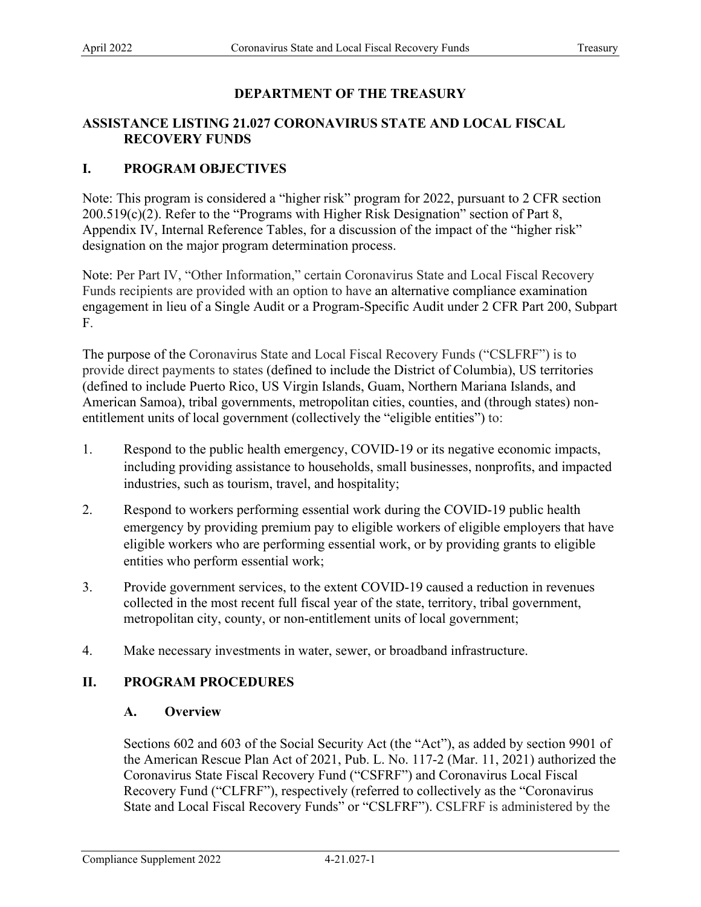# **DEPARTMENT OF THE TREASURY**

## **ASSISTANCE LISTING 21.027 CORONAVIRUS STATE AND LOCAL FISCAL RECOVERY FUNDS**

# **I. PROGRAM OBJECTIVES**

 Appendix IV, Internal Reference Tables, for a discussion of the impact of the "higher risk" Note: This program is considered a "higher risk" program for 2022, pursuant to 2 CFR section 200.519(c)(2). Refer to the "Programs with Higher Risk Designation" section of Part 8, designation on the major program determination process.

Note: Per Part IV, "Other Information," certain Coronavirus State and Local Fiscal Recovery Funds recipients are provided with an option to have an alternative compliance examination engagement in lieu of a Single Audit or a Program-Specific Audit under 2 CFR Part 200, Subpart F.

 entitlement units of local government (collectively the "eligible entities") to: The purpose of the Coronavirus State and Local Fiscal Recovery Funds ("CSLFRF") is to provide direct payments to states (defined to include the District of Columbia), US territories (defined to include Puerto Rico, US Virgin Islands, Guam, Northern Mariana Islands, and American Samoa), tribal governments, metropolitan cities, counties, and (through states) non-

- industries, such as tourism, travel, and hospitality; 1. Respond to the public health emergency, COVID-19 or its negative economic impacts, including providing assistance to households, small businesses, nonprofits, and impacted
- eligible workers who are performing essential work, or by providing grants to eligible 2. Respond to workers performing essential work during the COVID-19 public health emergency by providing premium pay to eligible workers of eligible employers that have entities who perform essential work;
- metropolitan city, county, or non-entitlement units of local government; 3. Provide government services, to the extent COVID-19 caused a reduction in revenues collected in the most recent full fiscal year of the state, territory, tribal government,
- 4. Make necessary investments in water, sewer, or broadband infrastructure.

# **II. PROGRAM PROCEDURES**

### **A. Overview**

 Sections 602 and 603 of the Social Security Act (the "Act"), as added by section 9901 of State and Local Fiscal Recovery Funds" or "CSLFRF"). CSLFRF is administered by the the American Rescue Plan Act of 2021, Pub. L. No. 117-2 (Mar. 11, 2021) authorized the Coronavirus State Fiscal Recovery Fund ("CSFRF") and Coronavirus Local Fiscal Recovery Fund ("CLFRF"), respectively (referred to collectively as the "Coronavirus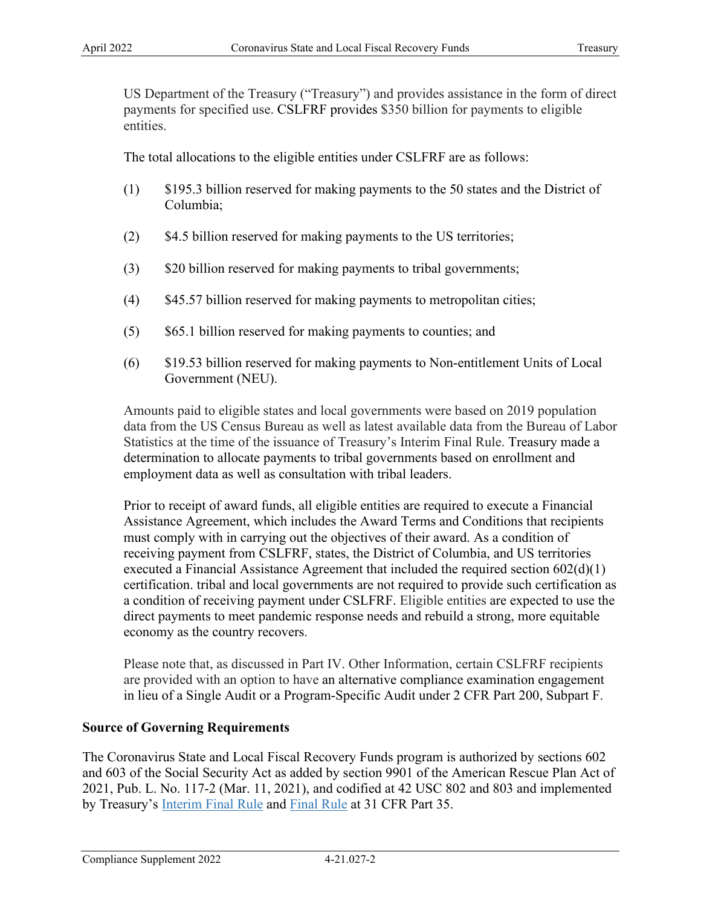US Department of the Treasury ("Treasury") and provides assistance in the form of direct payments for specified use. CSLFRF provides \$350 billion for payments to eligible entities.

The total allocations to the eligible entities under CSLFRF are as follows:

- (1) \$195.3 billion reserved for making payments to the 50 states and the District of Columbia;
- (2) \$4.5 billion reserved for making payments to the US territories;
- (3) \$20 billion reserved for making payments to tribal governments;
- (4) \$45.57 billion reserved for making payments to metropolitan cities;
- (5) \$65.1 billion reserved for making payments to counties; and
- Government (NEU). (6) \$19.53 billion reserved for making payments to Non-entitlement Units of Local

Amounts paid to eligible states and local governments were based on 2019 population data from the US Census Bureau as well as latest available data from the Bureau of Labor Statistics at the time of the issuance of Treasury's Interim Final Rule. Treasury made a determination to allocate payments to tribal governments based on enrollment and employment data as well as consultation with tribal leaders.

 Prior to receipt of award funds, all eligible entities are required to execute a Financial Assistance Agreement, which includes the Award Terms and Conditions that recipients must comply with in carrying out the objectives of their award. As a condition of receiving payment from CSLFRF, states, the District of Columbia, and US territories executed a Financial Assistance Agreement that included the required section  $602(d)(1)$ certification. tribal and local governments are not required to provide such certification as a condition of receiving payment under CSLFRF. Eligible entities are expected to use the direct payments to meet pandemic response needs and rebuild a strong, more equitable economy as the country recovers.

Please note that, as discussed in Part IV. Other Information, certain CSLFRF recipients are provided with an option to have an alternative compliance examination engagement in lieu of a Single Audit or a Program-Specific Audit under 2 CFR Part 200, Subpart F.

### **Source of Governing Requirements**

The Coronavirus State and Local Fiscal Recovery Funds program is authorized by sections 602 and 603 of the Social Security Act as added by section 9901 of the American Rescue Plan Act of 2021, Pub. L. No. 117-2 (Mar. 11, 2021), and codified at 42 USC 802 and 803 and implemented by Treasury's [Interim Final Rule](https://www.govinfo.gov/content/pkg/FR-2021-05-17/pdf/2021-10283.pdf) and [Final Rule](https://www.govinfo.gov/content/pkg/FR-2022-01-27/pdf/2022-00292.pdf) at 31 CFR Part 35.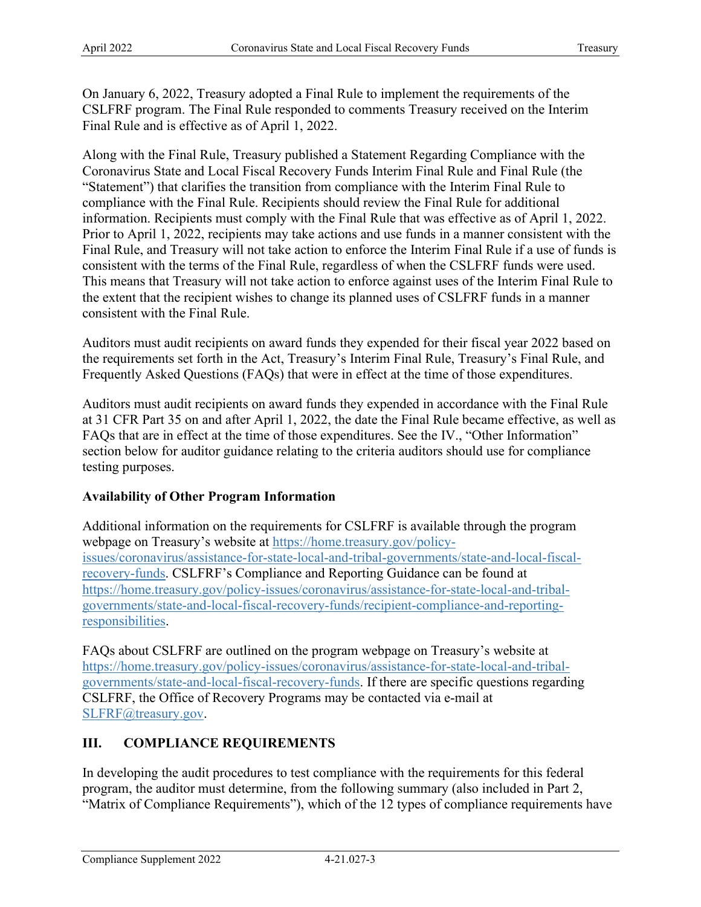On January 6, 2022, Treasury adopted a Final Rule to implement the requirements of the CSLFRF program. The Final Rule responded to comments Treasury received on the Interim Final Rule and is effective as of April 1, 2022.

 Final Rule, and Treasury will not take action to enforce the Interim Final Rule if a use of funds is Along with the Final Rule, Treasury published a Statement Regarding Compliance with the Coronavirus State and Local Fiscal Recovery Funds Interim Final Rule and Final Rule (the "Statement") that clarifies the transition from compliance with the Interim Final Rule to compliance with the Final Rule. Recipients should review the Final Rule for additional information. Recipients must comply with the Final Rule that was effective as of April 1, 2022. Prior to April 1, 2022, recipients may take actions and use funds in a manner consistent with the consistent with the terms of the Final Rule, regardless of when the CSLFRF funds were used. This means that Treasury will not take action to enforce against uses of the Interim Final Rule to the extent that the recipient wishes to change its planned uses of CSLFRF funds in a manner consistent with the Final Rule.

Auditors must audit recipients on award funds they expended for their fiscal year 2022 based on the requirements set forth in the Act, Treasury's Interim Final Rule, Treasury's Final Rule, and Frequently Asked Questions (FAQs) that were in effect at the time of those expenditures.

 at 31 CFR Part 35 on and after April 1, 2022, the date the Final Rule became effective, as well as Auditors must audit recipients on award funds they expended in accordance with the Final Rule FAQs that are in effect at the time of those expenditures. See the IV., "Other Information" section below for auditor guidance relating to the criteria auditors should use for compliance testing purposes.

## **Availability of Other Program Information**

Additional information on the requirements for CSLFRF is available through the program webpage on Treasury's website at [https://home.treasury.gov/policy](https://home.treasury.gov/policy-issues/coronavirus/assistance-for-state-local-and-tribal-governments/state-and-local-fiscal-recovery-funds)[issues/coronavirus/assistance-for-state-local-and-tribal-governments/state-and-local-fiscal](https://home.treasury.gov/policy-issues/coronavirus/assistance-for-state-local-and-tribal-governments/state-and-local-fiscal-recovery-funds)[recovery-funds.](https://home.treasury.gov/policy-issues/coronavirus/assistance-for-state-local-and-tribal-governments/state-and-local-fiscal-recovery-funds) CSLFRF's Compliance and Reporting Guidance can be found at <https://home.treasury.gov/policy-issues/coronavirus/assistance-for-state-local-and-tribal>[governments/state-and-local-fiscal-recovery-funds/recipient-compliance-and-reporting](https://home.treasury.gov/policy-issues/coronavirus/assistance-for-state-local-and-tribal-governments/state-and-local-fiscal-recovery-funds/recipient-compliance-and-reporting-responsibilities)[responsibilities.](https://home.treasury.gov/policy-issues/coronavirus/assistance-for-state-local-and-tribal-governments/state-and-local-fiscal-recovery-funds/recipient-compliance-and-reporting-responsibilities)

 FAQs about CSLFRF are outlined on the program webpage on Treasury's website at <https://home.treasury.gov/policy-issues/coronavirus/assistance-for-state-local-and-tribal>[governments/state-and-local-fiscal-recovery-funds.](https://home.treasury.gov/policy-issues/coronavirus/assistance-for-state-local-and-tribal-governments/state-and-local-fiscal-recovery-funds) If there are specific questions regarding CSLFRF, the Office of Recovery Programs may be contacted via e-mail at [SLFRF@treasury.gov.](mailto:SLFRP@treasury.gov)

## **III. COMPLIANCE REQUIREMENTS**

In developing the audit procedures to test compliance with the requirements for this federal program, the auditor must determine, from the following summary (also included in Part 2, "Matrix of Compliance Requirements"), which of the 12 types of compliance requirements have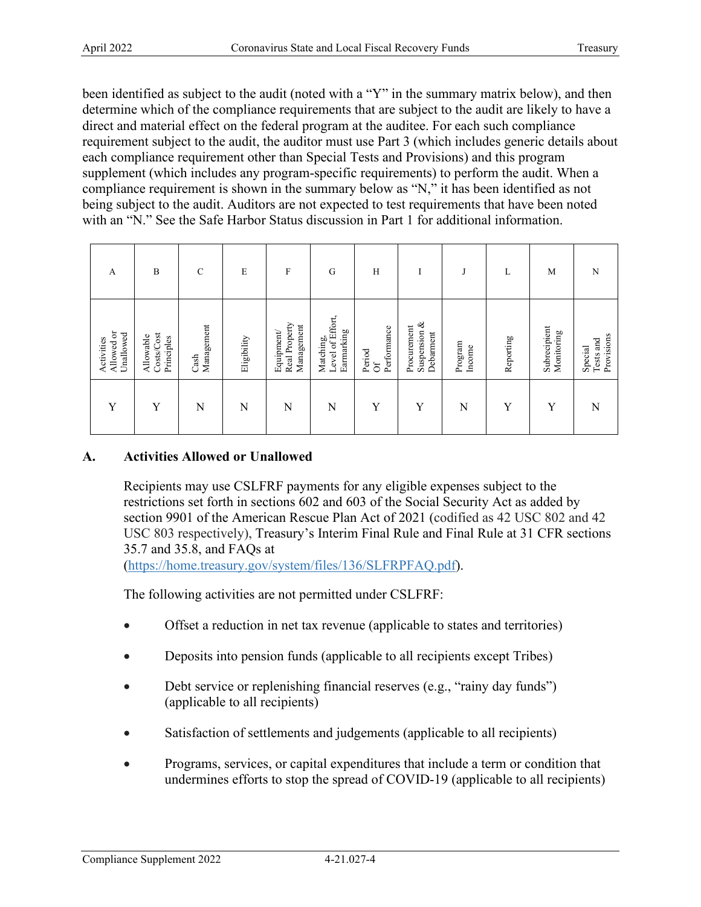been identified as subject to the audit (noted with a "Y" in the summary matrix below), and then determine which of the compliance requirements that are subject to the audit are likely to have a direct and material effect on the federal program at the auditee. For each such compliance requirement subject to the audit, the auditor must use Part 3 (which includes generic details about each compliance requirement other than Special Tests and Provisions) and this program supplement (which includes any program-specific requirements) to perform the audit. When a compliance requirement is shown in the summary below as "N," it has been identified as not being subject to the audit. Auditors are not expected to test requirements that have been noted with an "N." See the Safe Harbor Status discussion in Part 1 for additional information.

| A                                     | $\bf{B}$                              | $\mathcal{C}$      | E           | $\boldsymbol{\mathrm{F}}$                | G                                           | H                           | $\mathbf{r}$                                |                   | L         | M                          | N                                  |
|---------------------------------------|---------------------------------------|--------------------|-------------|------------------------------------------|---------------------------------------------|-----------------------------|---------------------------------------------|-------------------|-----------|----------------------------|------------------------------------|
| Allowed or<br>Unallowed<br>Activities | Costs/Cost<br>Allowable<br>Principles | Management<br>Cash | Eligibility | Real Property<br>Management<br>Equipment | Matching,<br>Level of Effort,<br>Earmarking | Performance<br>Period<br>ðf | ళ<br>Procurement<br>Suspension<br>Debarment | Program<br>Income | Reporting | Subrecipient<br>Monitoring | Provisions<br>Tests and<br>Special |
| Y                                     | Y                                     | N                  | N           | N                                        | N                                           | Y                           | Y                                           | N                 | Y         | Y                          | N                                  |

# **A. Activities Allowed or Unallowed**

Recipients may use CSLFRF payments for any eligible expenses subject to the restrictions set forth in sections 602 and 603 of the Social Security Act as added by section 9901 of the American Rescue Plan Act of 2021 (codified as 42 USC 802 and 42 USC 803 respectively), Treasury's Interim Final Rule and Final Rule at 31 CFR sections 35.7 and 35.8, and FAQs at

[\(https://home.treasury.gov/system/files/136/SLFRPFAQ.pdf\)](https://home.treasury.gov/system/files/136/SLFRPFAQ.pdf).

The following activities are not permitted under CSLFRF:

- Offset a reduction in net tax revenue (applicable to states and territories)
- Deposits into pension funds (applicable to all recipients except Tribes)
- Debt service or replenishing financial reserves (e.g., "rainy day funds") (applicable to all recipients)
- Satisfaction of settlements and judgements (applicable to all recipients)
- Programs, services, or capital expenditures that include a term or condition that undermines efforts to stop the spread of COVID-19 (applicable to all recipients)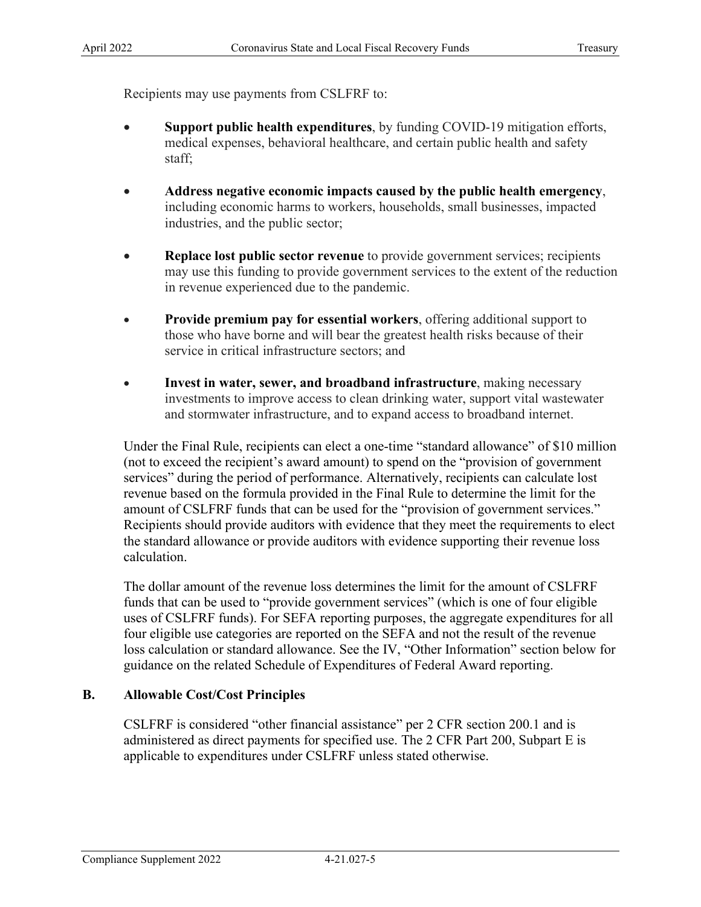Recipients may use payments from CSLFRF to:

- **Support public health expenditures**, by funding COVID-19 mitigation efforts, medical expenses, behavioral healthcare, and certain public health and safety staff;
- **Address negative economic impacts caused by the public health emergency**, including economic harms to workers, households, small businesses, impacted industries, and the public sector;
- **Replace lost public sector revenue** to provide government services; recipients may use this funding to provide government services to the extent of the reduction in revenue experienced due to the pandemic.
- **Provide premium pay for essential workers**, offering additional support to those who have borne and will bear the greatest health risks because of their service in critical infrastructure sectors; and
- and stormwater infrastructure, and to expand access to broadband internet. • **Invest in water, sewer, and broadband infrastructure**, making necessary investments to improve access to clean drinking water, support vital wastewater

 (not to exceed the recipient's award amount) to spend on the "provision of government the standard allowance or provide auditors with evidence supporting their revenue loss calculation. Under the Final Rule, recipients can elect a one-time "standard allowance" of \$10 million services" during the period of performance. Alternatively, recipients can calculate lost revenue based on the formula provided in the Final Rule to determine the limit for the amount of CSLFRF funds that can be used for the "provision of government services." Recipients should provide auditors with evidence that they meet the requirements to elect

 funds that can be used to "provide government services" (which is one of four eligible four eligible use categories are reported on the SEFA and not the result of the revenue loss calculation or standard allowance. See the IV, "Other Information" section below for The dollar amount of the revenue loss determines the limit for the amount of CSLFRF uses of CSLFRF funds). For SEFA reporting purposes, the aggregate expenditures for all guidance on the related Schedule of Expenditures of Federal Award reporting.

## **B. Allowable Cost/Cost Principles**

 CSLFRF is considered "other financial assistance" per 2 CFR section 200.1 and is applicable to expenditures under CSLFRF unless stated otherwise. administered as direct payments for specified use. The 2 CFR Part 200, Subpart E is applicable to expenditures under CSLFRF unless stated otherwise.<br>
Compliance Supplement 2022 4-21.027-5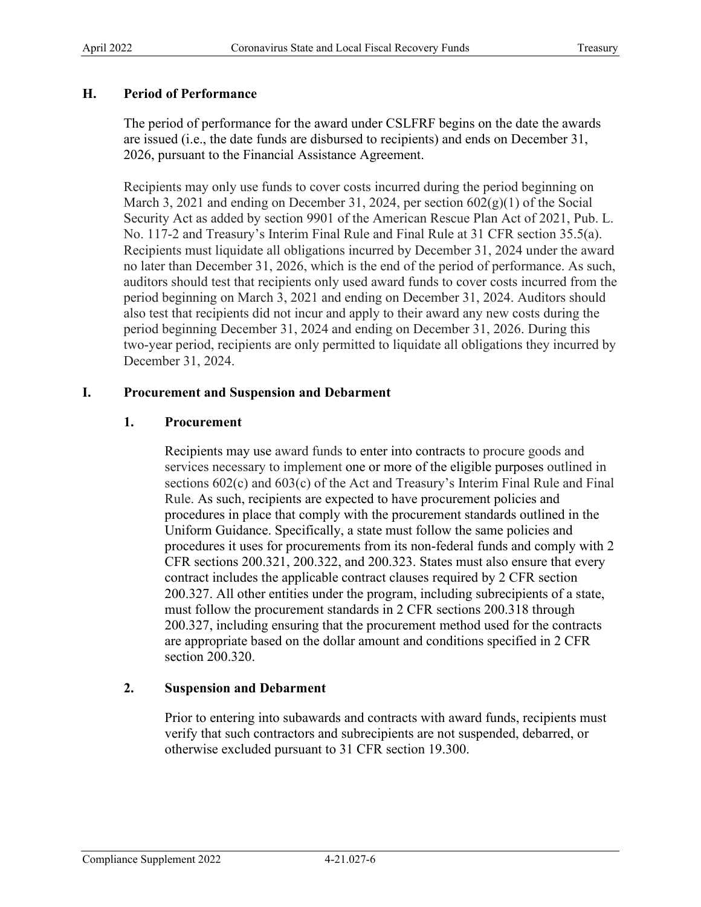## **H. Period of Performance**

 The period of performance for the award under CSLFRF begins on the date the awards 2026, pursuant to the Financial Assistance Agreement. are issued (i.e., the date funds are disbursed to recipients) and ends on December 31,

 March 3, 2021 and ending on December 31, 2024, per section 602(g)(1) of the Social No. 117-2 and Treasury's Interim Final Rule and Final Rule at 31 CFR section 35.5(a). December 31, 2024. Recipients may only use funds to cover costs incurred during the period beginning on Security Act as added by section 9901 of the American Rescue Plan Act of 2021, Pub. L. Recipients must liquidate all obligations incurred by December 31, 2024 under the award no later than December 31, 2026, which is the end of the period of performance. As such, auditors should test that recipients only used award funds to cover costs incurred from the period beginning on March 3, 2021 and ending on December 31, 2024. Auditors should also test that recipients did not incur and apply to their award any new costs during the period beginning December 31, 2024 and ending on December 31, 2026. During this two-year period, recipients are only permitted to liquidate all obligations they incurred by

## **I.** Procurement and Suspension and Debarment

## **1. Procurement**

 services necessary to implement one or more of the eligible purposes outlined in procedures it uses for procurements from its non-federal funds and comply with 2 CFR sections 200.321, 200.322, and 200.323. States must also ensure that every contract includes the applicable contract clauses required by 2 CFR section must follow the procurement standards in 2 CFR sections 200.318 through Recipients may use award funds to enter into contracts to procure goods and sections 602(c) and 603(c) of the Act and Treasury's Interim Final Rule and Final Rule. As such, recipients are expected to have procurement policies and procedures in place that comply with the procurement standards outlined in the Uniform Guidance. Specifically, a state must follow the same policies and 200.327. All other entities under the program, including subrecipients of a state, 200.327, including ensuring that the procurement method used for the contracts are appropriate based on the dollar amount and conditions specified in 2 CFR section 200.320.

# **2. Suspension and Debarment**

 Prior to entering into subawards and contracts with award funds, recipients must otherwise excluded pursuant to 31 CFR section 19.300. verify that such contractors and subrecipients are not suspended, debarred, or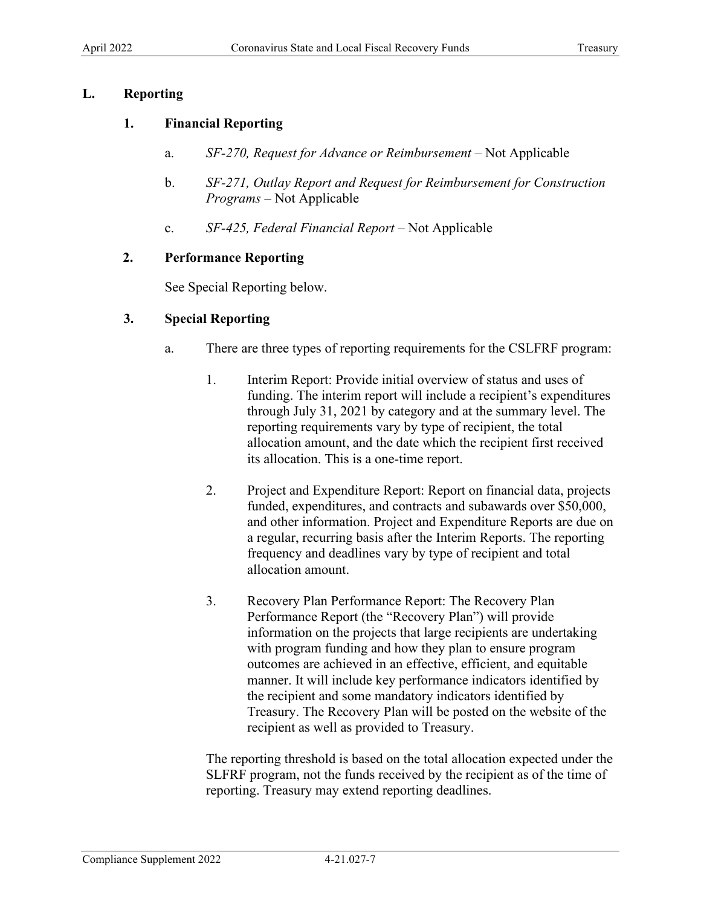## **L. Reporting**

## **1. Financial Reporting**

- a. *SF-270, Request for Advance or Reimbursement*  Not Applicable
- *Programs*  Not Applicable b. *SF-271, Outlay Report and Request for Reimbursement for Construction*
- c. *SF-425, Federal Financial Report*  Not Applicable

## **2. Performance Reporting**

See Special Reporting below.

## **3. Special Reporting**

- a. There are three types of reporting requirements for the CSLFRF program:
	- 1. Interim Report: Provide initial overview of status and uses of funding. The interim report will include a recipient's expenditures through July 31, 2021 by category and at the summary level. The reporting requirements vary by type of recipient, the total allocation amount, and the date which the recipient first received its allocation. This is a one-time report.
	- 2. Project and Expenditure Report: Report on financial data, projects a regular, recurring basis after the Interim Reports. The reporting frequency and deadlines vary by type of recipient and total funded, expenditures, and contracts and subawards over \$50,000, and other information. Project and Expenditure Reports are due on allocation amount.
	- outcomes are achieved in an effective, efficient, and equitable 3. Recovery Plan Performance Report: The Recovery Plan Performance Report (the "Recovery Plan") will provide information on the projects that large recipients are undertaking with program funding and how they plan to ensure program manner. It will include key performance indicators identified by the recipient and some mandatory indicators identified by Treasury. The Recovery Plan will be posted on the website of the recipient as well as provided to Treasury.

The reporting threshold is based on the total allocation expected under the SLFRF program, not the funds received by the recipient as of the time of reporting. Treasury may extend reporting deadlines.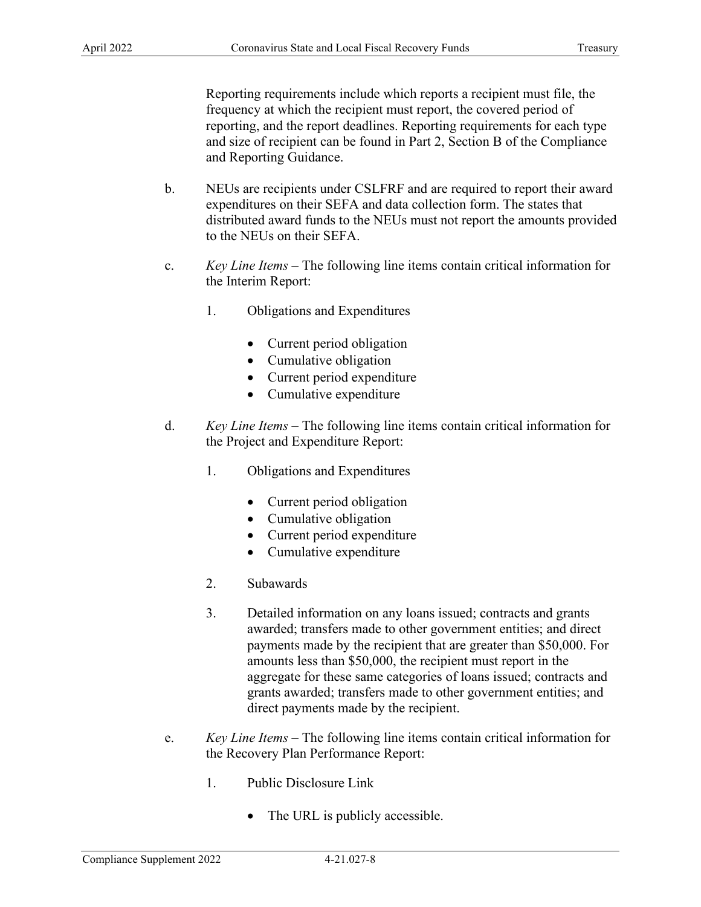and Reporting Guidance. frequency at which the recipient must report, the covered period of reporting, and the report deadlines. Reporting requirements for each type and size of recipient can be found in Part 2, Section B of the Compliance

- NEUs are recipients under CSLFRF and are required to report their award expenditures on their SEFA and data collection form. The states that distributed award funds to the NEUs must not report the amounts provided to the NEUs on their SEFA. b.
- *Key Line Items*  The following line items contain critical information for c. the Interim Report:
	- 1. Obligations and Expenditures
		- Current period obligation
		- Cumulative obligation
		- Current period expenditure
		- Cumulative expenditure
- *Key Line Items*  The following line items contain critical information for d.
	- the Project and Expenditure Report:<br>1. Obligations and Expenditures
		- Current period obligation
		- Cumulative obligation
		- Current period expenditure
		- Cumulative expenditure
	- 2. Subawards
- aggregate for these same categories of loans issued; contracts and Reporting requirements include which reports a recipient must frequency at which the recipient must report, the covered period of<br>reporting, and the report deadlines. Reporting requirements for each ty<br>and size of recipie 3. Detailed information on any loans issued; contracts and grants awarded; transfers made to other government entities; and direct payments made by the recipient that are greater than \$50,000. For amounts less than \$50,000, the recipient must report in the grants awarded; transfers made to other government entities; and direct payments made by the recipient.
- *Key Line Items* – The following line items contain critical information for the Recovery Plan Performance Report:
	- 1. Public Disclosure Link
		- The URL is publicly accessible.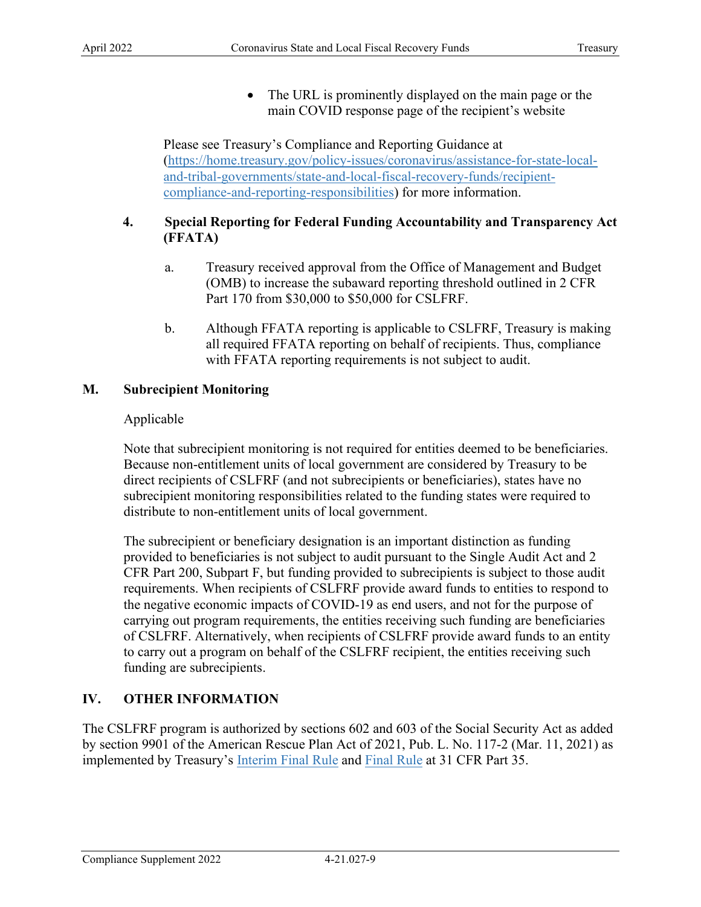main COVID response page of the recipient's website • The URL is prominently displayed on the main page or the

 Please see Treasury's Compliance and Reporting Guidance at [\(https://home.treasury.gov/policy-issues/coronavirus/assistance-for-state-local](https://home.treasury.gov/policy-issues/coronavirus/assistance-for-state-local-and-tribal-governments/state-and-local-fiscal-recovery-funds/recipient-compliance-and-reporting-responsibilities)[and-tribal-governments/state-and-local-fiscal-recovery-funds/recipient](https://home.treasury.gov/policy-issues/coronavirus/assistance-for-state-local-and-tribal-governments/state-and-local-fiscal-recovery-funds/recipient-compliance-and-reporting-responsibilities)[compliance-and-reporting-responsibilities\)](https://home.treasury.gov/policy-issues/coronavirus/assistance-for-state-local-and-tribal-governments/state-and-local-fiscal-recovery-funds/recipient-compliance-and-reporting-responsibilities) for more information.

# **4. Special Reporting for Federal Funding Accountability and Transparency Act (FFATA)**

- Part 170 from \$30,000 to \$50,000 for CSLFRF. a. Treasury received approval from the Office of Management and Budget (OMB) to increase the subaward reporting threshold outlined in 2 CFR
- b. Although FFATA reporting is applicable to CSLFRF, Treasury is making all required FFATA reporting on behalf of recipients. Thus, compliance with FFATA reporting requirements is not subject to audit.

# **M. Subrecipient Monitoring**

## Applicable

 direct recipients of CSLFRF (and not subrecipients or beneficiaries), states have no Note that subrecipient monitoring is not required for entities deemed to be beneficiaries. Because non-entitlement units of local government are considered by Treasury to be subrecipient monitoring responsibilities related to the funding states were required to distribute to non-entitlement units of local government.

The subrecipient or beneficiary designation is an important distinction as funding provided to beneficiaries is not subject to audit pursuant to the Single Audit Act and 2 CFR Part 200, Subpart F, but funding provided to subrecipients is subject to those audit requirements. When recipients of CSLFRF provide award funds to entities to respond to the negative economic impacts of COVID-19 as end users, and not for the purpose of carrying out program requirements, the entities receiving such funding are beneficiaries of CSLFRF. Alternatively, when recipients of CSLFRF provide award funds to an entity to carry out a program on behalf of the CSLFRF recipient, the entities receiving such funding are subrecipients.

# **IV. OTHER INFORMATION**

The CSLFRF program is authorized by sections 602 and 603 of the Social Security Act as added by section 9901 of the American Rescue Plan Act of 2021, Pub. L. No. 117-2 (Mar. 11, 2021) as implemented by Treasury's <u>Interim Final Rule</u> and [Final Rule](https://www.govinfo.gov/content/pkg/FR-2022-01-27/pdf/2022-00292.pdf) at 31 CFR Part 35.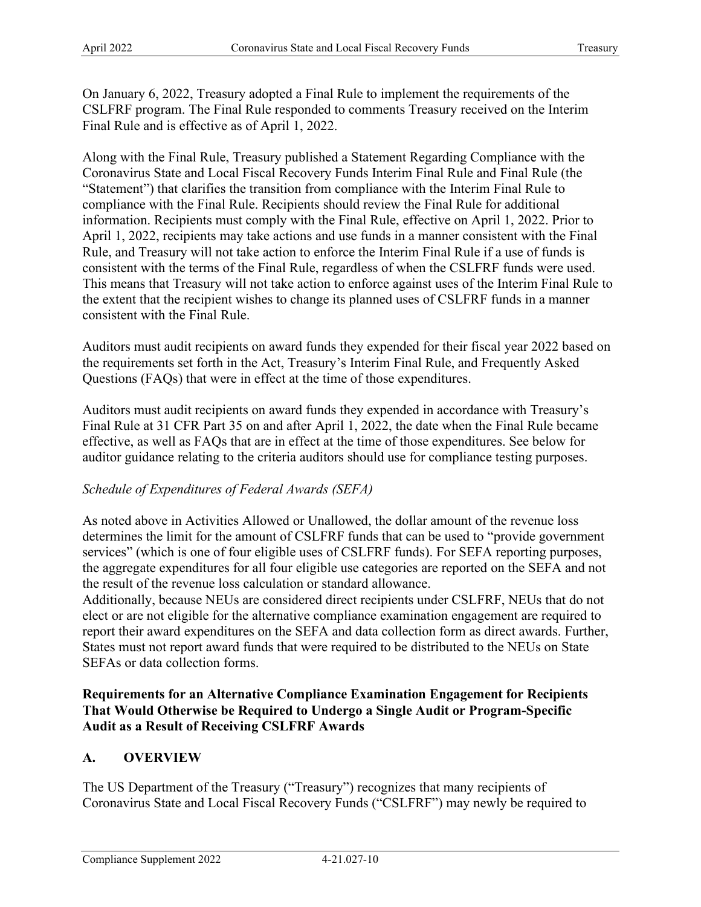On January 6, 2022, Treasury adopted a Final Rule to implement the requirements of the CSLFRF program. The Final Rule responded to comments Treasury received on the Interim Final Rule and is effective as of April 1, 2022.

Along with the Final Rule, Treasury published a Statement Regarding Compliance with the Coronavirus State and Local Fiscal Recovery Funds Interim Final Rule and Final Rule (the "Statement") that clarifies the transition from compliance with the Interim Final Rule to compliance with the Final Rule. Recipients should review the Final Rule for additional information. Recipients must comply with the Final Rule, effective on April 1, 2022. Prior to April 1, 2022, recipients may take actions and use funds in a manner consistent with the Final Rule, and Treasury will not take action to enforce the Interim Final Rule if a use of funds is consistent with the terms of the Final Rule, regardless of when the CSLFRF funds were used. This means that Treasury will not take action to enforce against uses of the Interim Final Rule to the extent that the recipient wishes to change its planned uses of CSLFRF funds in a manner consistent with the Final Rule.

Auditors must audit recipients on award funds they expended for their fiscal year 2022 based on the requirements set forth in the Act, Treasury's Interim Final Rule, and Frequently Asked Questions (FAQs) that were in effect at the time of those expenditures.

Auditors must audit recipients on award funds they expended in accordance with Treasury's Final Rule at 31 CFR Part 35 on and after April 1, 2022, the date when the Final Rule became effective, as well as FAQs that are in effect at the time of those expenditures. See below for auditor guidance relating to the criteria auditors should use for compliance testing purposes.

## *Schedule of Expenditures of Federal Awards (SEFA)*

 the aggregate expenditures for all four eligible use categories are reported on the SEFA and not the result of the revenue loss calculation or standard allowance. As noted above in Activities Allowed or Unallowed, the dollar amount of the revenue loss determines the limit for the amount of CSLFRF funds that can be used to "provide government services" (which is one of four eligible uses of CSLFRF funds). For SEFA reporting purposes,

 Additionally, because NEUs are considered direct recipients under CSLFRF, NEUs that do not elect or are not eligible for the alternative compliance examination engagement are required to report their award expenditures on the SEFA and data collection form as direct awards. Further, States must not report award funds that were required to be distributed to the NEUs on State SEFAs or data collection forms.

## **Requirements for an Alternative Compliance Examination Engagement for Recipients That Would Otherwise be Required to Undergo a Single Audit or Program-Specific Audit as a Result of Receiving CSLFRF Awards**

## **A. OVERVIEW**

The US Department of the Treasury ("Treasury") recognizes that many recipients of Coronavirus State and Local Fiscal Recovery Funds ("CSLFRF") may newly be required to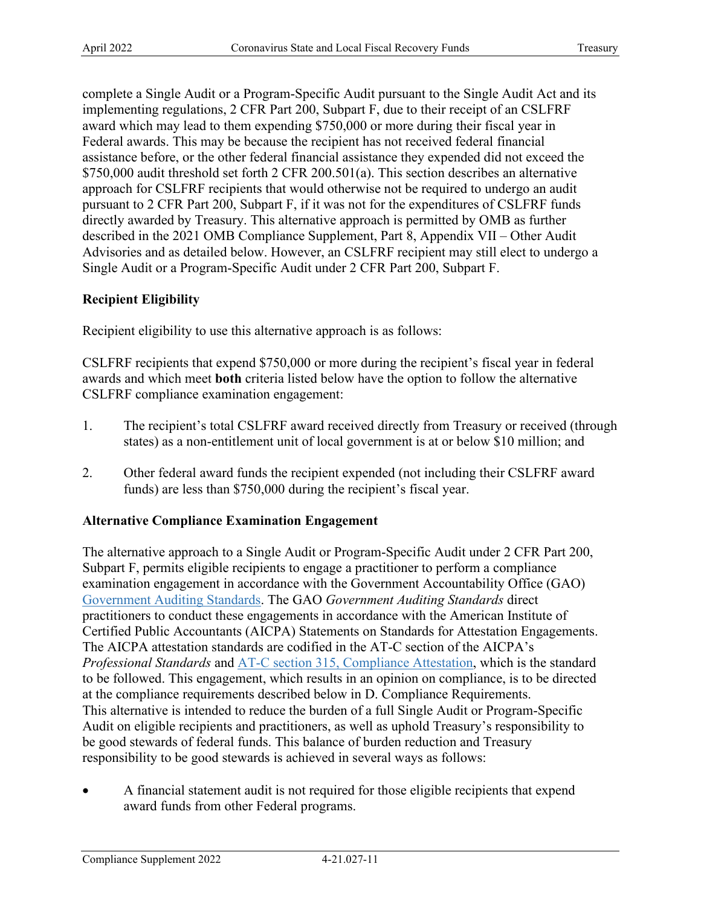complete a Single Audit or a Program-Specific Audit pursuant to the Single Audit Act and its implementing regulations, 2 CFR Part 200, Subpart F, due to their receipt of an CSLFRF award which may lead to them expending \$750,000 or more during their fiscal year in Federal awards. This may be because the recipient has not received federal financial assistance before, or the other federal financial assistance they expended did not exceed the \$750,000 audit threshold set forth 2 CFR 200.501(a). This section describes an alternative approach for CSLFRF recipients that would otherwise not be required to undergo an audit pursuant to 2 CFR Part 200, Subpart F, if it was not for the expenditures of CSLFRF funds directly awarded by Treasury. This alternative approach is permitted by OMB as further described in the 2021 OMB Compliance Supplement, Part 8, Appendix VII – Other Audit Advisories and as detailed below. However, an CSLFRF recipient may still elect to undergo a Single Audit or a Program-Specific Audit under 2 CFR Part 200, Subpart F.

## **Recipient Eligibility**

Recipient eligibility to use this alternative approach is as follows:

CSLFRF compliance examination engagement: CSLFRF recipients that expend \$750,000 or more during the recipient's fiscal year in federal awards and which meet **both** criteria listed below have the option to follow the alternative

- 1. The recipient's total CSLFRF award received directly from Treasury or received (through states) as a non-entitlement unit of local government is at or below \$10 million; and
- 2. Other federal award funds the recipient expended (not including their CSLFRF award funds) are less than \$750,000 during the recipient's fiscal year.

### **Alternative Compliance Examination Engagement**

 Subpart F, permits eligible recipients to engage a practitioner to perform a compliance practitioners to conduct these engagements in accordance with the [American Institute of](https://us.aicpa.org/research/standards/auditattest/ssae)  The AICPA attestation standards are codified in the AT-C section of the AICPA's The alternative approach to a Single Audit or Program-Specific Audit under 2 CFR Part 200, examination engagement in accordance with the Government Accountability Office (GAO) [Government Auditing Standards.](https://www.gao.gov/products/gao-21-368g) The GAO *Government Auditing Standards* direct [Certified Public Accountants \(AICPA\) Statements on Standards for Attestation Engagements.](https://us.aicpa.org/research/standards/auditattest/ssae) *Professional Standards* and [AT-C section 315, Compliance Attestation,](https://us.aicpa.org/content/dam/aicpa/research/standards/auditattest/downloadabledocuments/at-c-00315.pdf) which is the standard to be followed. This engagement, which results in an opinion on compliance, is to be directed at the compliance requirements described below in D. Compliance Requirements. This alternative is intended to reduce the burden of a full Single Audit or Program-Specific Audit on eligible recipients and practitioners, as well as uphold Treasury's responsibility to be good stewards of federal funds. This balance of burden reduction and Treasury responsibility to be good stewards is achieved in several ways as follows:

• A financial statement audit is not required for those eligible recipients that expend award funds from other Federal programs.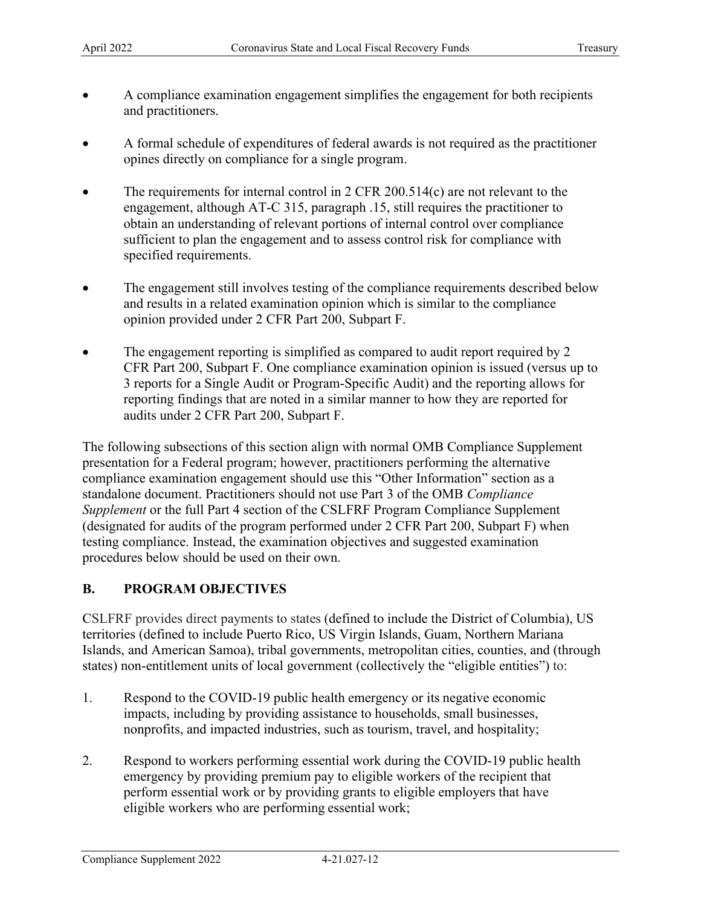- • A compliance examination engagement simplifies the engagement for both recipients and practitioners.
- A formal schedule of expenditures of federal awards is not required as the practitioner opines directly on compliance for a single program.
- The requirements for internal control in 2 CFR 200.514(c) are not relevant to the engagement, although AT-C 315, paragraph .15, still requires the practitioner to obtain an understanding of relevant portions of internal control over compliance sufficient to plan the engagement and to assess control risk for compliance with specified requirements.
- opinion provided under 2 CFR Part 200, Subpart F. • The engagement still involves testing of the compliance requirements described below and results in a related examination opinion which is similar to the compliance
- audits under 2 CFR Part 200, Subpart F. The engagement reporting is simplified as compared to audit report required by 2 CFR Part 200, Subpart F. One compliance examination opinion is issued (versus up to 3 reports for a Single Audit or Program-Specific Audit) and the reporting allows for reporting findings that are noted in a similar manner to how they are reported for

 compliance examination engagement should use this "Other Information" section as a The following subsections of this section align with normal OMB Compliance Supplement presentation for a Federal program; however, practitioners performing the alternative standalone document. Practitioners should not use Part 3 of the OMB *Compliance Supplement* or the full Part 4 section of the CSLFRF Program Compliance Supplement (designated for audits of the program performed under 2 CFR Part 200, Subpart F) when testing compliance. Instead, the examination objectives and suggested examination procedures below should be used on their own.

# **B. PROGRAM OBJECTIVES**

 CSLFRF provides direct payments to states (defined to include the District of Columbia), US states) non-entitlement units of local government (collectively the "eligible entities") to: territories (defined to include Puerto Rico, US Virgin Islands, Guam, Northern Mariana Islands, and American Samoa), tribal governments, metropolitan cities, counties, and (through

- 1. Respond to the COVID-19 public health emergency or its negative economic nonprofits, and impacted industries, such as tourism, travel, and hospitality; impacts, including by providing assistance to households, small businesses,
- perform essential work or by providing grants to eligible employers that have eligible workers who are performing essential work; 2. Respond to workers performing essential work during the COVID-19 public health emergency by providing premium pay to eligible workers of the recipient that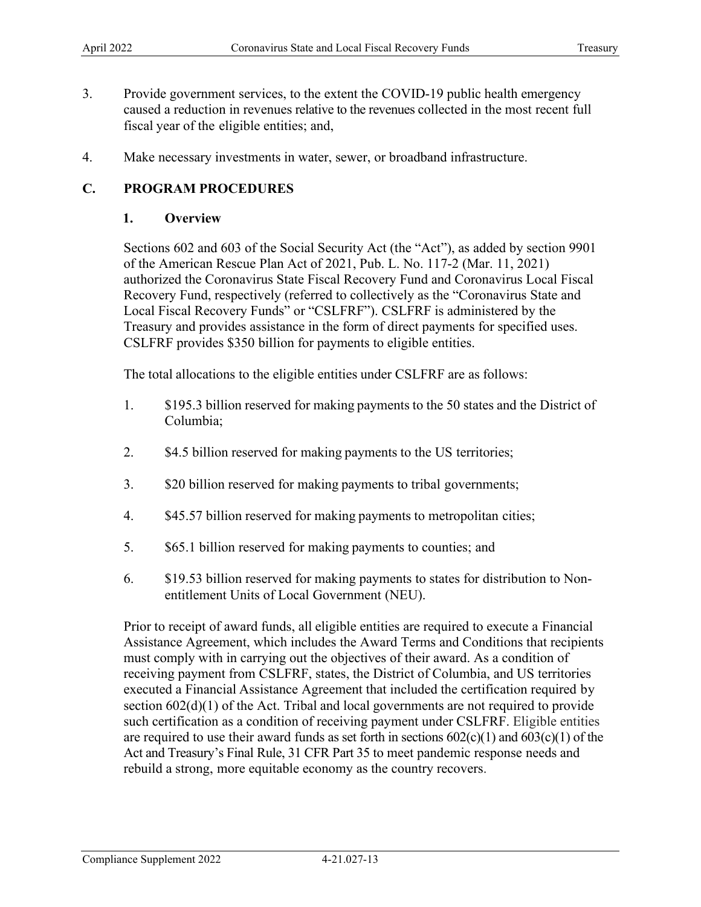- Provide government services, to the extent the COVID-19 public health emergency caused a reduction in revenues relative to the revenues collected in the most recent full fiscal year of the eligible entities; and, 3.
- 4. Make necessary investments in water, sewer, or broadband infrastructure.

## **C. PROGRAM PROCEDURES**

### **1. Overview**

 authorized the Coronavirus State Fiscal Recovery Fund and Coronavirus Local Fiscal Recovery Fund, respectively (referred to collectively as the "Coronavirus State and Local Fiscal Recovery Funds" or "CSLFRF"). CSLFRF is administered by the Treasury and provides assistance in the form of direct payments for specified uses. CSLFRF provides \$350 billion for payments to eligible entities. Sections 602 and 603 of the Social Security Act (the "Act"), as added by section 9901 of the American Rescue Plan Act of 2021, Pub. L. No. 117-2 (Mar. 11, 2021)

The total allocations to the eligible entities under CSLFRF are as follows:

- $1<sub>1</sub>$ \$195.3 billion reserved for making payments to the 50 states and the District of Columbia;
- 2. \$4.5 billion reserved for making payments to the US territories;
- $\overline{3}$ . \$20 billion reserved for making payments to tribal governments;
- $4.$ \$45.57 billion reserved for making payments to metropolitan cities;
- 5. \$65.1 billion reserved for making payments to counties; and
- entitlement Units of Local Government (NEU). 6. \$19.53 billion reserved for making payments to states for distribution to Non-

 Prior to receipt of award funds, all eligible entities are required to execute a Financial must comply with in carrying out the objectives of their award. As a condition of receiving payment from CSLFRF, states, the District of Columbia, and US territories executed a Financial Assistance Agreement that included the certification required by section 602(d)(1) of the Act. Tribal and local governments are not required to provide such certification as a condition of receiving payment under CSLFRF. Eligible entities Act and Treasury's Final Rule, 31 CFR Part 35 to meet pandemic response needs and rebuild a strong, more equitable economy as the country recovers. Assistance Agreement, which includes the Award Terms and Conditions that recipients are required to use their award funds as set forth in sections  $602(c)(1)$  and  $603(c)(1)$  of the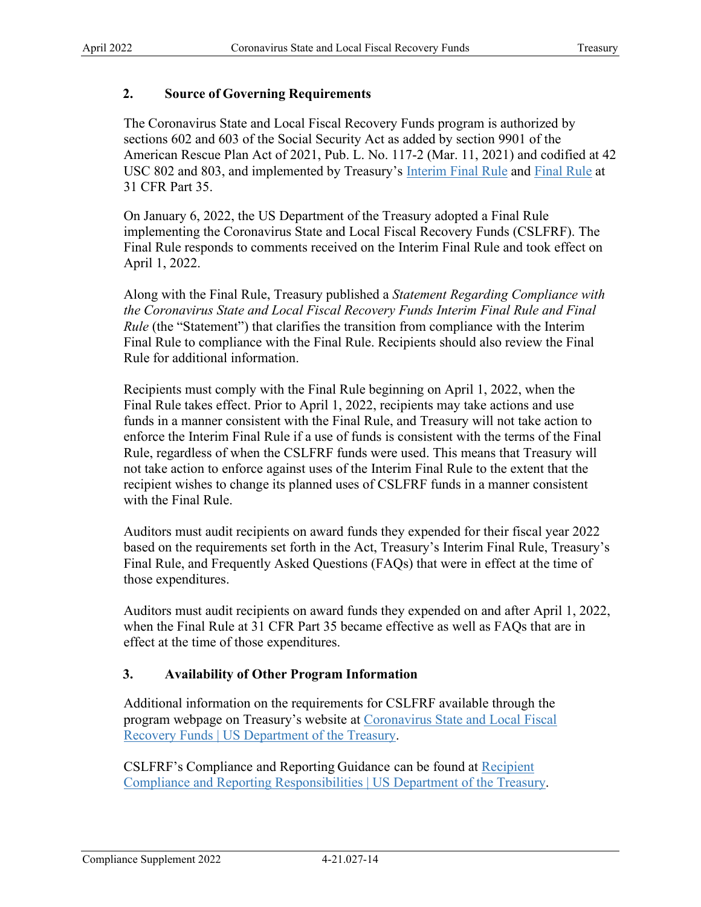## **2. Source of Governing Requirements**

The Coronavirus State and Local Fiscal Recovery Funds program is authorized by sections 602 and 603 of the Social Security Act as added by section 9901 of the American Rescue Plan Act of 2021, Pub. L. No. 117-2 (Mar. 11, 2021) and codified at 42 USC 802 and 803, and implemented by Treasury's [Interim Final Rule](https://www.govinfo.gov/content/pkg/FR-2021-05-17/pdf/2021-10283.pdf) and [Final Rule](https://www.govinfo.gov/content/pkg/FR-2022-01-27/pdf/2022-00292.pdf) at 31 CFR Part 35.

On January 6, 2022, the US Department of the Treasury adopted a Final Rule implementing the Coronavirus State and Local Fiscal Recovery Funds (CSLFRF). The Final Rule responds to comments received on the Interim Final Rule and took effect on April 1, 2022.

*Rule* (the "Statement") that clarifies the transition from compliance with the Interim Along with the Final Rule, Treasury published a *Statement Regarding Compliance with the Coronavirus State and Local Fiscal Recovery Funds Interim Final Rule and Final*  Final Rule to compliance with the Final Rule. Recipients should also review the Final Rule for additional information.

 recipient wishes to change its planned uses of CSLFRF funds in a manner consistent Recipients must comply with the Final Rule beginning on April 1, 2022, when the Final Rule takes effect. Prior to April 1, 2022, recipients may take actions and use funds in a manner consistent with the Final Rule, and Treasury will not take action to enforce the Interim Final Rule if a use of funds is consistent with the terms of the Final Rule, regardless of when the CSLFRF funds were used. This means that Treasury will not take action to enforce against uses of the Interim Final Rule to the extent that the with the Final Rule.

Auditors must audit recipients on award funds they expended for their fiscal year 2022 based on the requirements set forth in the Act, Treasury's Interim Final Rule, Treasury's Final Rule, and Frequently Asked Questions (FAQs) that were in effect at the time of those expenditures.

Auditors must audit recipients on award funds they expended on and after April 1, 2022, when the Final Rule at 31 CFR Part 35 became effective as well as FAQs that are in effect at the time of those expenditures.

## **3. Availability of Other Program Information**

program webpage on Treasury's website at Coronavirus State and Local Fiscal Additional information on the requirements for CSLFRF available through the [Recovery Funds | US Department of the Treasury.](https://home.treasury.gov/policy-issues/coronavirus/assistance-for-state-local-and-tribal-governments/state-and-local-fiscal-recovery-funds)

CSLFRF's Compliance and Reporting Guidance can be found at Recipient [Compliance and Reporting Responsibilities | US Department of the Treasury.](https://home.treasury.gov/policy-issues/coronavirus/assistance-for-state-local-and-tribal-governments/state-and-local-fiscal-recovery-funds/recipient-compliance-and-reporting-responsibilities)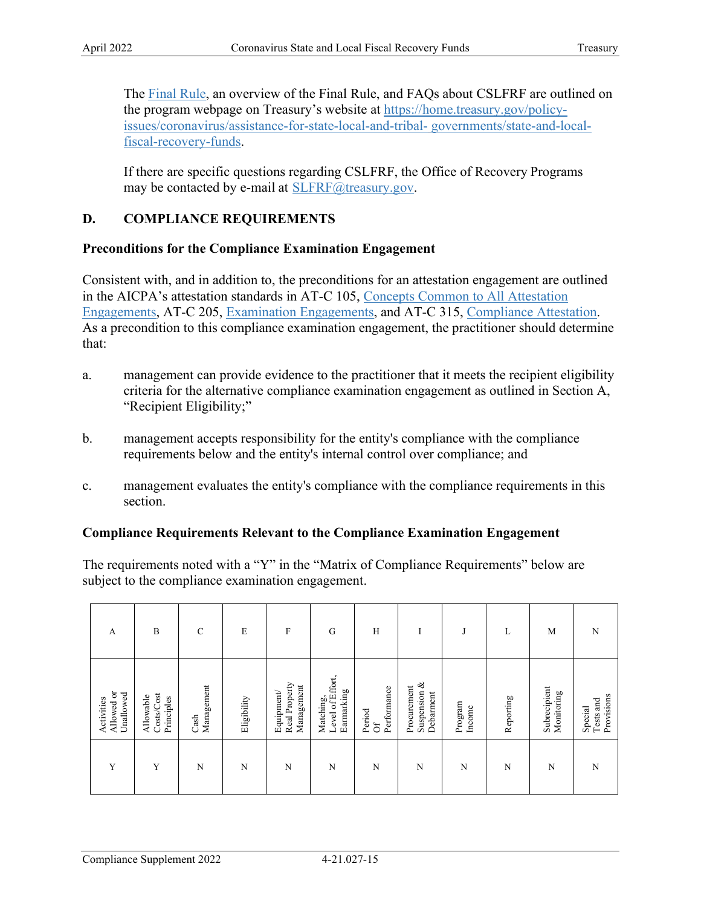The **Final Rule**, an overview of the [Final Rule,](https://www.govinfo.gov/content/pkg/FR-2022-01-27/pdf/2022-00292.pdf) and FAQs about CSLFRF are outlined on the program webpage on Treasury's website at [https://home.treasury.gov/policy](https://home.treasury.gov/policy-issues/coronavirus/assistance-for-state-local-and-tribal-governments/state-and-local-fiscal-recovery-funds)[issues/coronavirus/assistance-for-state-local-and-tribal-](https://home.treasury.gov/policy-issues/coronavirus/assistance-for-state-local-and-tribal-governments/state-and-local-fiscal-recovery-funds) [governments/state-and-local](https://home.treasury.gov/policy-issues/coronavirus/assistance-for-state-local-and-tribal-governments/state-and-local-fiscal-recovery-funds)[fiscal-recovery-funds.](https://home.treasury.gov/policy-issues/coronavirus/assistance-for-state-local-and-tribal-governments/state-and-local-fiscal-recovery-funds)

 If there are specific questions regarding CSLFRF, the Office of Recovery Programs may be contacted by e-mail at **SLFRF@treasury.gov**.

# **D. COMPLIANCE REQUIREMENTS**

## **Preconditions for the Compliance Examination Engagement**

Consistent with, and in addition to, the preconditions for an attestation engagement are outlined in the AICPA's attestation standards in AT-C 105, [Concepts Common to All Attestation](https://us.aicpa.org/content/dam/aicpa/research/standards/auditattest/downloadabledocuments/at-c-00105-a.pdf)  [Engagements,](https://us.aicpa.org/content/dam/aicpa/research/standards/auditattest/downloadabledocuments/at-c-00105-a.pdf) AT-C 205, [Examination Engagements,](https://us.aicpa.org/content/dam/aicpa/research/standards/auditattest/downloadabledocuments/at-c-00205-a.pdf) and AT-C 315, [Compliance Attestation.](https://us.aicpa.org/content/dam/aicpa/research/standards/auditattest/downloadabledocuments/at-c-00315.pdf) As a precondition to this compliance examination engagement, the practitioner should determine that:

- a. management can provide evidence to the practitioner that it meets the recipient eligibility criteria for the alternative compliance examination engagement as outlined in Section A, "Recipient Eligibility;"
- requirements below and the entity's internal control over compliance; and b. management accepts responsibility for the entity's compliance with the compliance
- c. management evaluates the entity's compliance with the compliance requirements in this section.

## **Compliance Requirements Relevant to the Compliance Examination Engagement**

The requirements noted with a "Y" in the "Matrix of Compliance Requirements" below are

| subject to the compliance examination engagement. |                                       |                       |             |                                          |                                             |                             |                                          |                   |           |                            |                                    |
|---------------------------------------------------|---------------------------------------|-----------------------|-------------|------------------------------------------|---------------------------------------------|-----------------------------|------------------------------------------|-------------------|-----------|----------------------------|------------------------------------|
| $\overline{A}$                                    | B                                     | $\mathsf{C}$          | E           | $\mathbf F$                              | G                                           | H                           |                                          | J                 | L         | M                          | N                                  |
| Allowed or<br>Unallowed<br>Activities             | Costs/Cost<br>Allowable<br>Principles | Management<br>$\cosh$ | Eligibility | Real Property<br>Management<br>Equipment | Level of Effort,<br>Earmarking<br>Matching, | Performance<br>Period<br>ðf | Suspension &<br>Procurement<br>Debarment | Program<br>Income | Reporting | Subrecipient<br>Monitoring | Provisions<br>Special<br>Tests and |
| Y                                                 | Y                                     | N                     | N           | N                                        | N                                           | N                           | N                                        | N                 | N         | N                          | N                                  |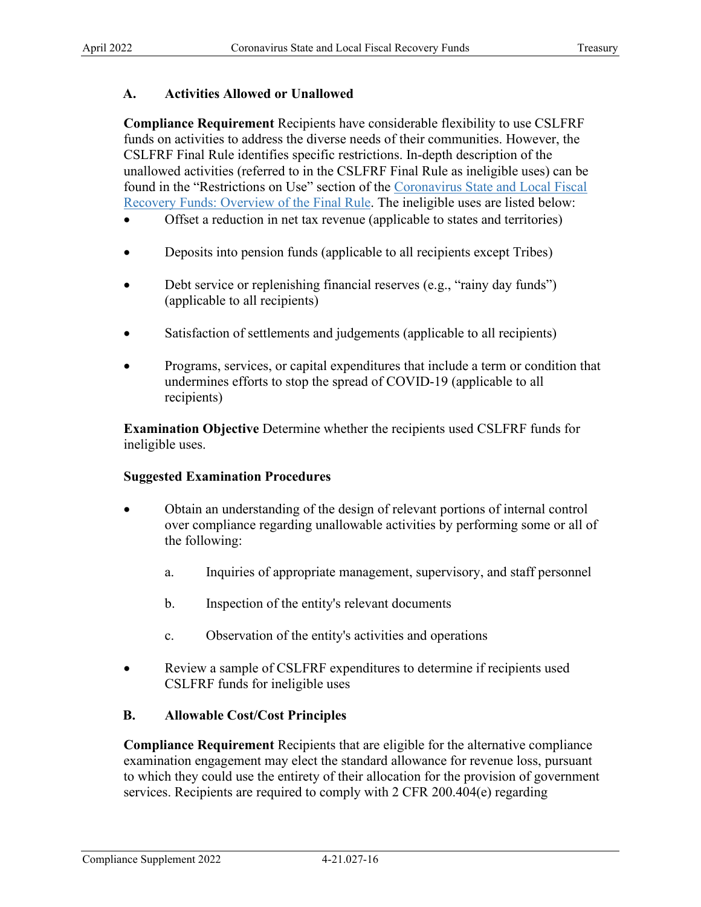## **A. Activities Allowed or Unallowed**

**Compliance Requirement** Recipients have considerable flexibility to use CSLFRF funds on activities to address the diverse needs of their communities. However, the CSLFRF Final Rule identifies specific restrictions. In-depth description of the unallowed activities (referred to in the CSLFRF Final Rule as ineligible uses) can be found in the "Restrictions on Use" section of the Coronavirus State and Local Fiscal [Recovery Funds: Overview of the Final Rule.](https://home.treasury.gov/system/files/136/SLFRF-Final-Rule-Overview.pdf) The ineligible uses are listed below:

- Offset a reduction in net tax revenue (applicable to states and territories)
- Deposits into pension funds (applicable to all recipients except Tribes)
- Debt service or replenishing financial reserves (e.g., "rainy day funds") (applicable to all recipients)
- Satisfaction of settlements and judgements (applicable to all recipients)
- Programs, services, or capital expenditures that include a term or condition that undermines efforts to stop the spread of COVID-19 (applicable to all recipients)

**Examination Objective** Determine whether the recipients used CSLFRF funds for ineligible uses.

### **Suggested Examination Procedures**

- Obtain an understanding of the design of relevant portions of internal control over compliance regarding unallowable activities by performing some or all of the following:
	- a. Inquiries of appropriate management, supervisory, and staff personnel
	- b. Inspection of the entity's relevant documents
	- c. Observation of the entity's activities and operations
- CSLFRF funds for ineligible uses • Review a sample of CSLFRF expenditures to determine if recipients used

### **B. Allowable Cost/Cost Principles**

**Compliance Requirement** Recipients that are eligible for the alternative compliance examination engagement may elect the standard allowance for revenue loss, pursuant to which they could use the entirety of their allocation for the provision of government services. Recipients are required to comply with 2 CFR 200.404(e) regarding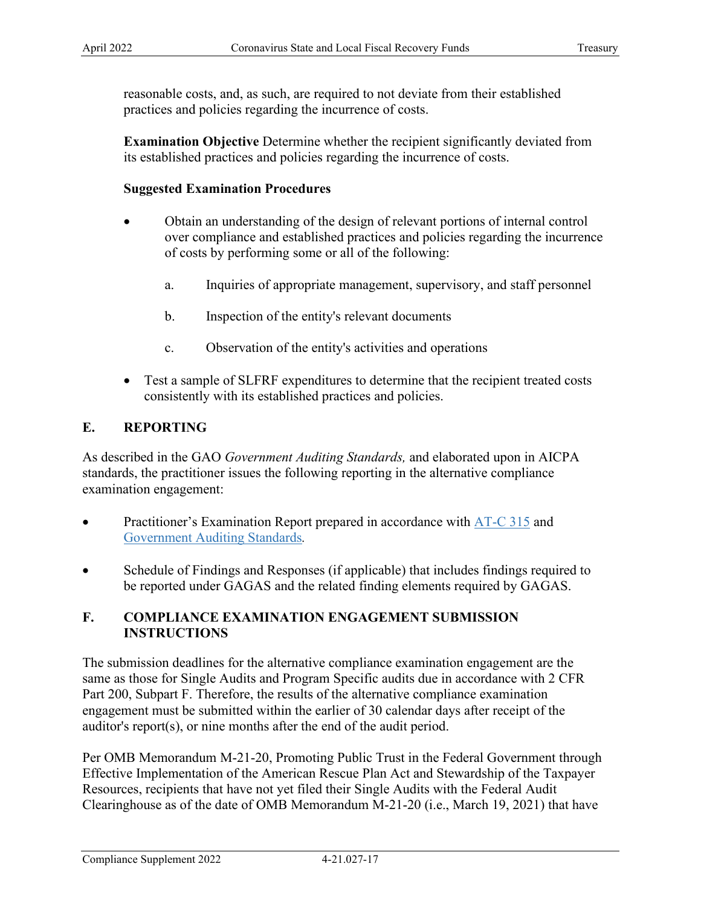reasonable costs, and, as such, are required to not deviate from their established practices and policies regarding the incurrence of costs.

**Examination Objective** Determine whether the recipient significantly deviated from its established practices and policies regarding the incurrence of costs.

## **Suggested Examination Procedures**

- Obtain an understanding of the design of relevant portions of internal control over compliance and established practices and policies regarding the incurrence of costs by performing some or all of the following:
	- a. Inquiries of appropriate management, supervisory, and staff personnel
	- b. Inspection of the entity's relevant documents
	- c. Observation of the entity's activities and operations
- Test a sample of SLFRF expenditures to determine that the recipient treated costs consistently with its established practices and policies.

## **E. REPORTING**

 As described in the GAO *Government Auditing Standards,* and elaborated upon in AICPA standards, the practitioner issues the following reporting in the alternative compliance examination engagement:

- Practitioner's Examination Report prepared in accordance with  $AT-C$  315 and [Government Auditing Standards](https://www.gao.gov/assets/gao-21-368g.pdf)*.*
- Schedule of Findings and Responses (if applicable) that includes findings required to be reported under GAGAS and the related finding elements required by GAGAS.

## **F. COMPLIANCE EXAMINATION ENGAGEMENT SUBMISSION INSTRUCTIONS**

 engagement must be submitted within the earlier of 30 calendar days after receipt of the auditor's report(s), or nine months after the end of the audit period. The submission deadlines for the alternative compliance examination engagement are the same as those for Single Audits and Program Specific audits due in accordance with 2 CFR Part 200, Subpart F. Therefore, the results of the alternative compliance examination

Per OMB Memorandum M-21-20, Promoting Public Trust in the Federal Government through Effective Implementation of the American Rescue Plan Act and Stewardship of the Taxpayer Resources, recipients that have not yet filed their Single Audits with the Federal Audit Clearinghouse as of the date of OMB Memorandum M-21-20 (i.e., March 19, 2021) that have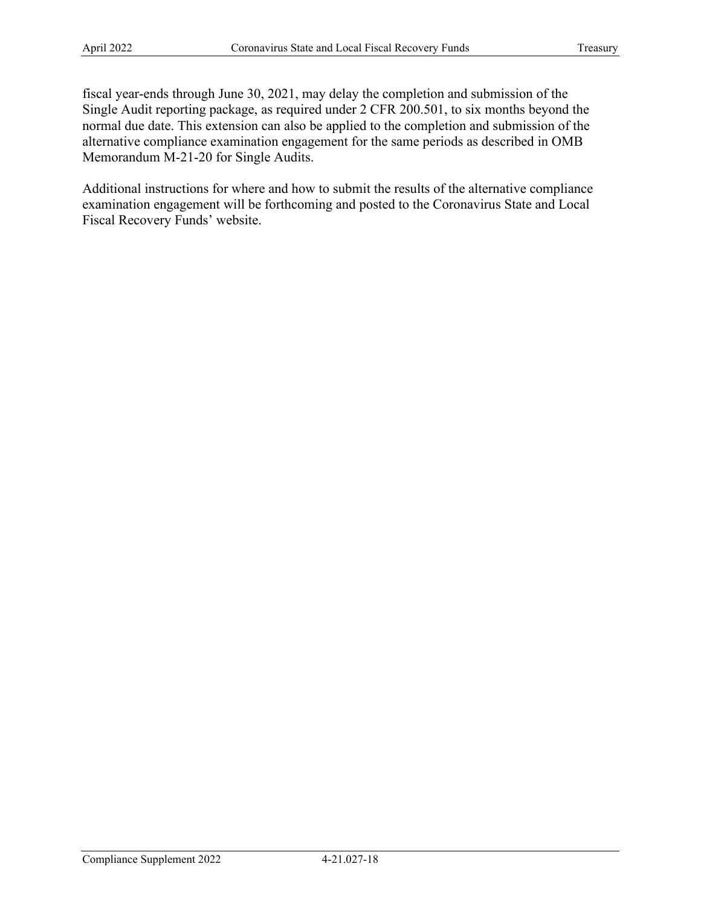Single Audit reporting package, as required under 2 CFR 200.501, to six months beyond the fiscal year-ends through June 30, 2021, may delay the completion and submission of the normal due date. This extension can also be applied to the completion and submission of the alternative compliance examination engagement for the same periods as described in OMB Memorandum M-21-20 for Single Audits.

Additional instructions for where and how to submit the results of the alternative compliance examination engagement will be forthcoming and posted to the Coronavirus State and Local Fiscal Recovery Funds' website.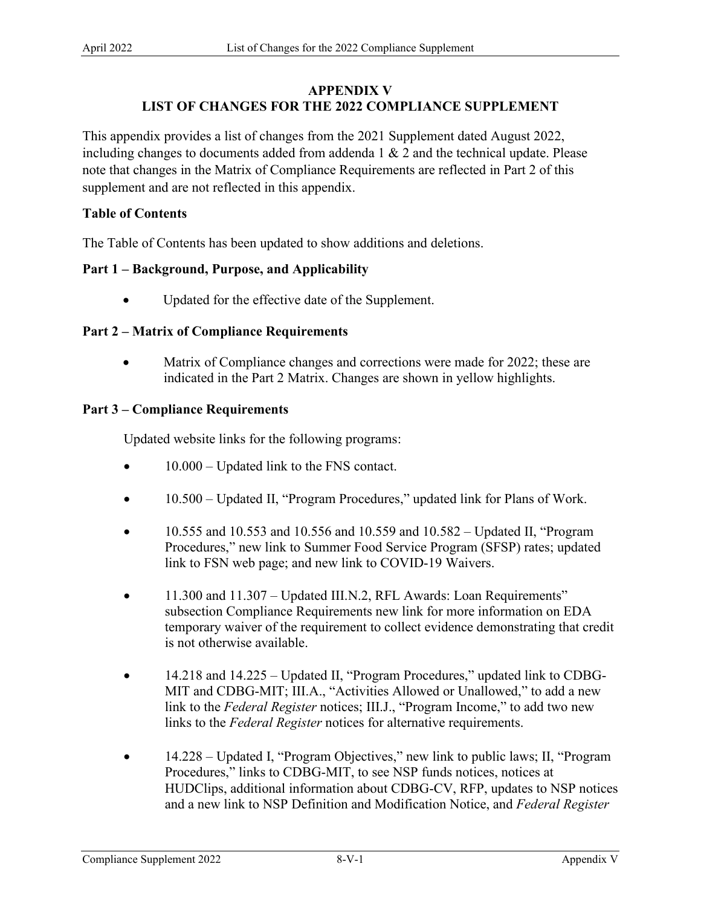# **APPENDIX V LIST OF CHANGES FOR THE 2022 COMPLIANCE SUPPLEMENT**

This appendix provides a list of changes from the 2021 Supplement dated August 2022, including changes to documents added from addenda 1 & 2 and the technical update. Please note that changes in the Matrix of Compliance Requirements are reflected in Part 2 of this supplement and are not reflected in this appendix.

## **Table of Contents**

The Table of Contents has been updated to show additions and deletions.

## **Part 1 – Background, Purpose, and Applicability**

• Updated for the effective date of the Supplement.

## **Part 2 – Matrix of Compliance Requirements**

• Matrix of Compliance changes and corrections were made for 2022; these are indicated in the Part 2 Matrix. Changes are shown in yellow highlights.

## **Part 3 – Compliance Requirements**

Updated website links for the following programs:

- 10.000 Updated link to the FNS contact.
- 10.500 Updated II, "Program Procedures," updated link for Plans of Work.
- 10.555 and 10.553 and 10.556 and 10.559 and 10.582 Updated II, "Program Procedures," new link to Summer Food Service Program (SFSP) rates; updated link to FSN web page; and new link to COVID-19 Waivers.
- 11.300 and 11.307 Updated III.N.2, RFL Awards: Loan Requirements" subsection Compliance Requirements new link for more information on EDA temporary waiver of the requirement to collect evidence demonstrating that credit is not otherwise available.
- link to the *Federal Register* notices; III.J., "Program Income," to add two new • 14.218 and 14.225 – Updated II, "Program Procedures," updated link to CDBG-MIT and CDBG-MIT; III.A., "Activities Allowed or Unallowed," to add a new links to the *Federal Register* notices for alternative requirements.
- 14.228 Updated I, "Program Objectives," new link to public laws; II, "Program Procedures," links to CDBG-MIT, to see NSP funds notices, notices at HUDClips, additional information about CDBG-CV, RFP, updates to NSP notices and a new link to NSP Definition and Modification Notice, and *Federal Register*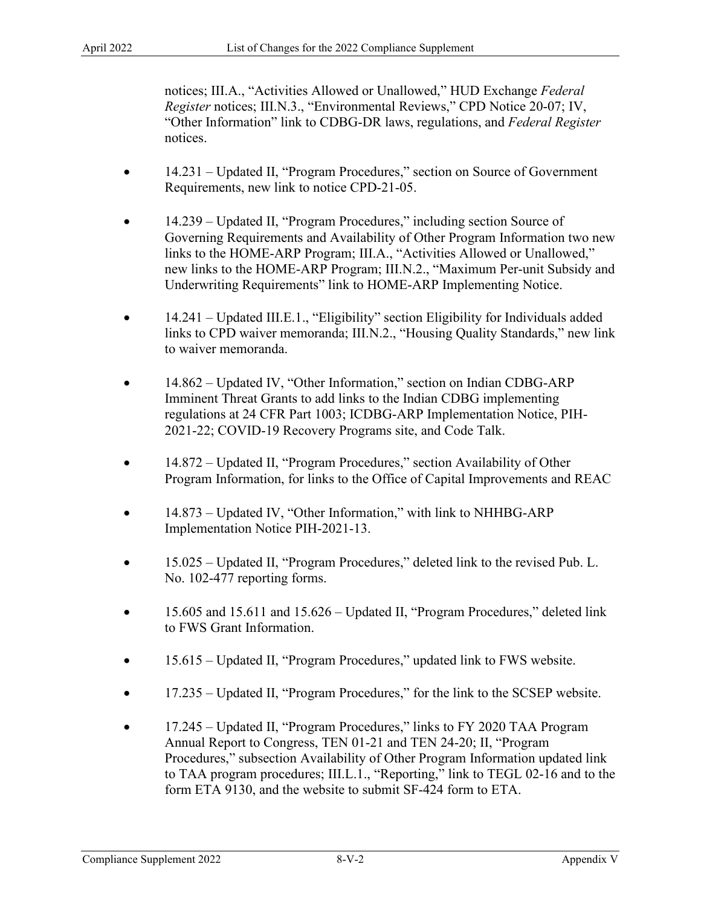notices; III.A., "Activities Allowed or Unallowed," HUD Exchange *Federal Register* notices; III.N.3., "Environmental Reviews," CPD Notice 20-07; IV, "Other Information" link to CDBG-DR laws, regulations, and *Federal Register*  notices.

- 14.231 Updated II, "Program Procedures," section on Source of Government Requirements, new link to notice CPD-21-05.
- Governing Requirements and Availability of Other Program Information two new • 14.239 – Updated II, "Program Procedures," including section Source of links to the HOME-ARP Program; III.A., "Activities Allowed or Unallowed," new links to the HOME-ARP Program; III.N.2., "Maximum Per-unit Subsidy and Underwriting Requirements" link to HOME-ARP Implementing Notice.
- 14.241 Updated III.E.1., "Eligibility" section Eligibility for Individuals added links to CPD waiver memoranda; III.N.2., "Housing Quality Standards," new link to waiver memoranda.
- 14.862 Updated IV, "Other Information," section on Indian CDBG-ARP Imminent Threat Grants to add links to the Indian CDBG implementing regulations at 24 CFR Part 1003; ICDBG-ARP Implementation Notice, PIH-2021-22; COVID-19 Recovery Programs site, and Code Talk.
- 14.872 Updated II, "Program Procedures," section Availability of Other Program Information, for links to the Office of Capital Improvements and REAC
- 14.873 Updated IV, "Other Information," with link to NHHBG-ARP Implementation Notice PIH-2021-13.
- 15.025 Updated II, "Program Procedures," deleted link to the revised Pub. L. No. 102-477 reporting forms.
- 15.605 and 15.611 and 15.626 Updated II, "Program Procedures," deleted link to FWS Grant Information.
- 15.615 Updated II, "Program Procedures," updated link to FWS website.
- 17.235 Updated II, "Program Procedures," for the link to the SCSEP website.
- 17.245 Updated II, "Program Procedures," links to FY 2020 TAA Program Annual Report to Congress, TEN 01-21 and TEN 24-20; II, "Program Procedures," subsection Availability of Other Program Information updated link to TAA program procedures; III.L.1., "Reporting," link to TEGL 02-16 and to the form ETA 9130, and the website to submit SF-424 form to ETA.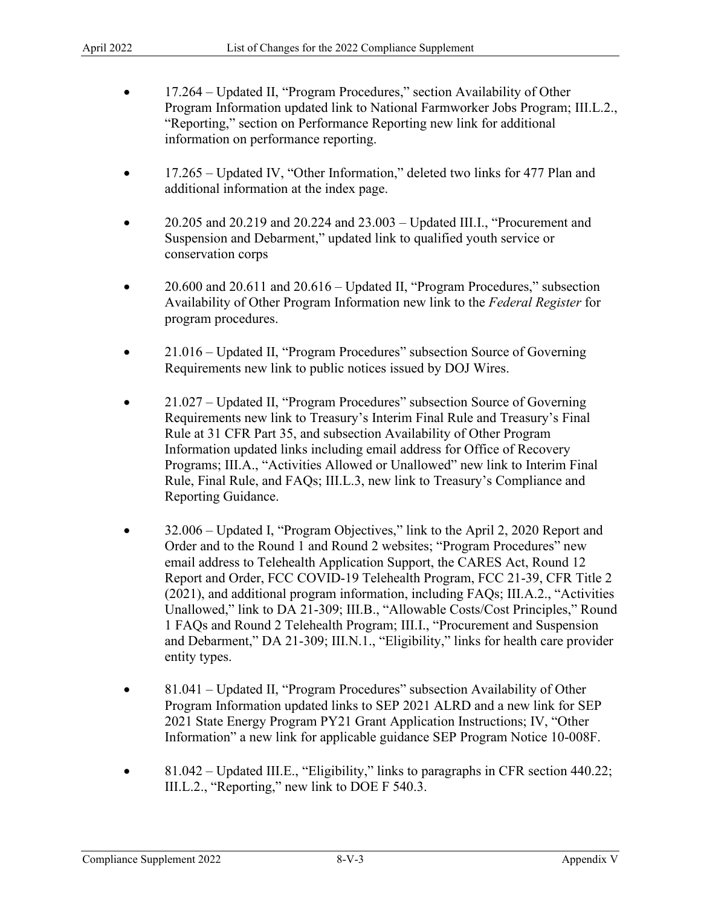- 17.264 Updated II, "Program Procedures," section Availability of Other Program Information updated link to National Farmworker Jobs Program; III.L.2., "Reporting," section on Performance Reporting new link for additional information on performance reporting.
- 17.265 Updated IV, "Other Information," deleted two links for 477 Plan and additional information at the index page.
- 20.205 and 20.219 and 20.224 and 23.003 Updated III.I., "Procurement and Suspension and Debarment," updated link to qualified youth service or conservation corps
- 20.600 and 20.611 and 20.616 Updated II, "Program Procedures," subsection Availability of Other Program Information new link to the *Federal Register* for program procedures.
- 21.016 Updated II, "Program Procedures" subsection Source of Governing Requirements new link to public notices issued by DOJ Wires.
- Requirements new link to Treasury's Interim Final Rule and Treasury's Final • 21.027 – Updated II, "Program Procedures" subsection Source of Governing Rule at 31 CFR Part 35, and subsection Availability of Other Program Information updated links including email address for Office of Recovery Programs; III.A., "Activities Allowed or Unallowed" new link to Interim Final Rule, Final Rule, and FAQs; III.L.3, new link to Treasury's Compliance and Reporting Guidance.
- 32.006 Updated I, "Program Objectives," link to the April 2, 2020 Report and Order and to the Round 1 and Round 2 websites; "Program Procedures" new email address to Telehealth Application Support, the CARES Act, Round 12 Report and Order, FCC COVID-19 Telehealth Program, FCC 21-39, CFR Title 2 (2021), and additional program information, including FAQs; III.A.2., "Activities Unallowed," link to DA 21-309; III.B., "Allowable Costs/Cost Principles," Round 1 FAQs and Round 2 Telehealth Program; III.I., "Procurement and Suspension and Debarment," DA 21-309; III.N.1., "Eligibility," links for health care provider entity types.
- Program Information updated links to SEP 2021 ALRD and a new link for SEP • 81.041 – Updated II, "Program Procedures" subsection Availability of Other 2021 State Energy Program PY21 Grant Application Instructions; IV, "Other Information" a new link for applicable guidance SEP Program Notice 10-008F.
- 81.042 Updated III.E., "Eligibility," links to paragraphs in CFR section 440.22; III.L.2., "Reporting," new link to DOE F 540.3.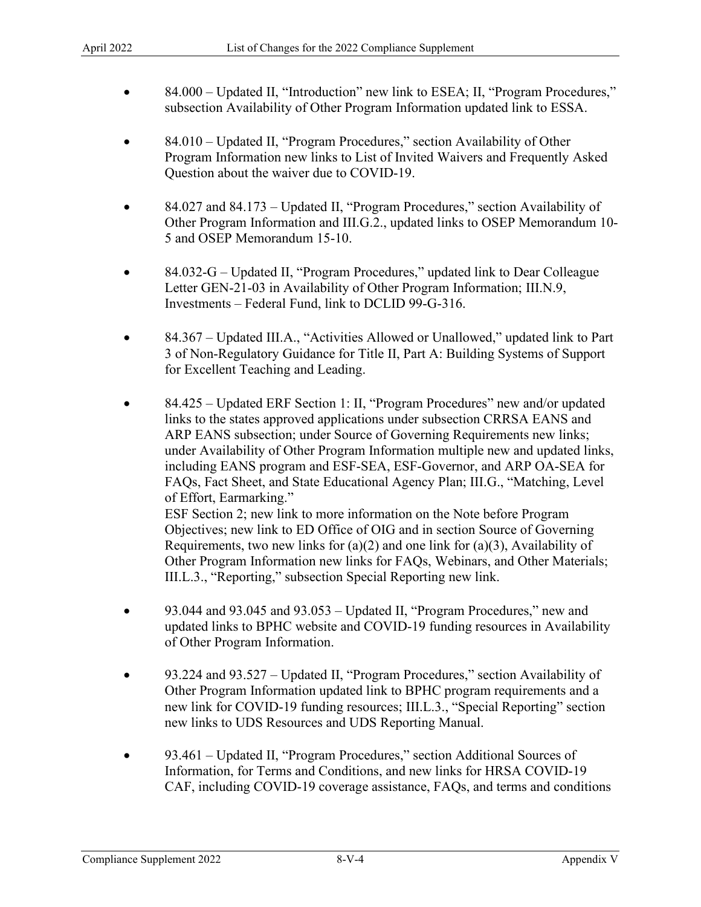- 84.000 Updated II, "Introduction" new link to ESEA; II, "Program Procedures," subsection Availability of Other Program Information updated link to ESSA.
- 84.010 Updated II, "Program Procedures," section Availability of Other Program Information new links to List of Invited Waivers and Frequently Asked Question about the waiver due to COVID-19.
- Other Program Information and III.G.2., updated links to OSEP Memorandum 10- • 84.027 and 84.173 – Updated II, "Program Procedures," section Availability of 5 and OSEP Memorandum 15-10.
- 84.032-G Updated II, "Program Procedures," updated link to Dear Colleague Letter GEN-21-03 in Availability of Other Program Information; III.N.9, Investments – Federal Fund, link to DCLID 99-G-316.
- 84.367 Updated III.A., "Activities Allowed or Unallowed," updated link to Part 3 of Non-Regulatory Guidance for Title II, Part A: Building Systems of Support for Excellent Teaching and Leading.
- ARP EANS subsection; under Source of Governing Requirements new links; under Availability of Other Program Information multiple new and updated links, of Effort, Earmarking." • 84.425 – Updated ERF Section 1: II, "Program Procedures" new and/or updated links to the states approved applications under subsection CRRSA EANS and including EANS program and ESF-SEA, ESF-Governor, and ARP OA-SEA for FAQs, Fact Sheet, and State Educational Agency Plan; III.G., "Matching, Level ESF Section 2; new link to more information on the Note before Program Objectives; new link to ED Office of OIG and in section Source of Governing Requirements, two new links for  $(a)(2)$  and one link for  $(a)(3)$ , Availability of
	- Other Program Information new links for FAQs, Webinars, and Other Materials; III.L.3., "Reporting," subsection Special Reporting new link.
- of Other Program Information. • 93.044 and 93.045 and 93.053 – Updated II, "Program Procedures," new and updated links to BPHC website and COVID-19 funding resources in Availability
- 93.224 and 93.527 Updated II, "Program Procedures," section Availability of Other Program Information updated link to BPHC program requirements and a new link for COVID-19 funding resources; III.L.3., "Special Reporting" section new links to UDS Resources and UDS Reporting Manual.
- 93.461 Updated II, "Program Procedures," section Additional Sources of Information, for Terms and Conditions, and new links for HRSA COVID-19 CAF, including COVID-19 coverage assistance, FAQs, and terms and conditions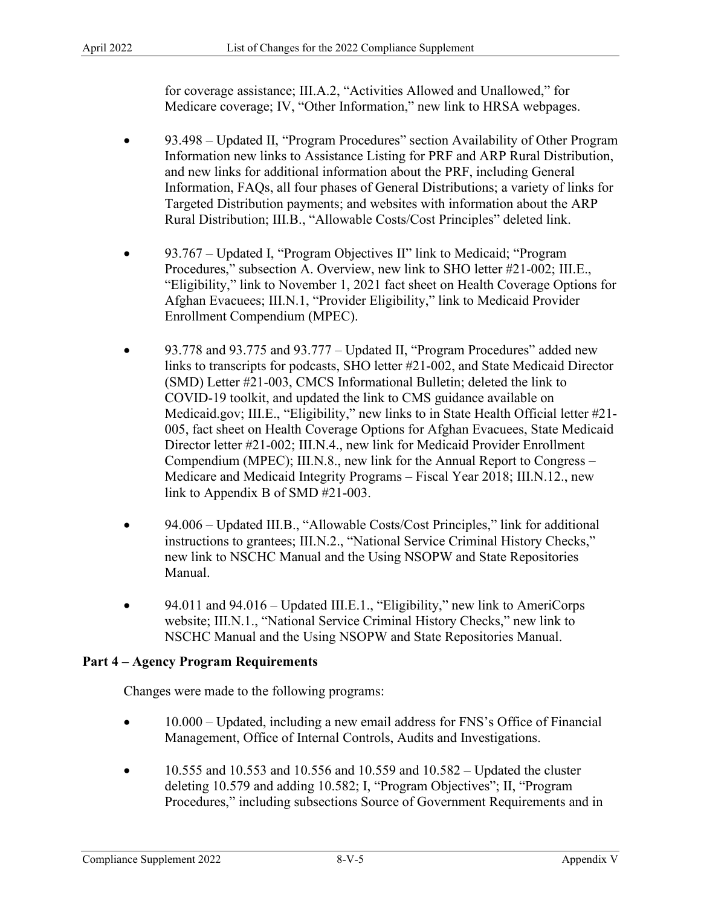for coverage assistance; III.A.2, "Activities Allowed and Unallowed," for Medicare coverage; IV, "Other Information," new link to HRSA webpages.

- 93.498 Updated II, "Program Procedures" section Availability of Other Program Targeted Distribution payments; and websites with information about the ARP Information new links to Assistance Listing for PRF and ARP Rural Distribution, and new links for additional information about the PRF, including General Information, FAQs, all four phases of General Distributions; a variety of links for Rural Distribution; III.B., "Allowable Costs/Cost Principles" deleted link.
- 93.767 Updated I, "Program Objectives II" link to Medicaid; "Program Procedures," subsection A. Overview, new link to SHO letter #21-002; III.E., "Eligibility," link to November 1, 2021 fact sheet on Health Coverage Options for Afghan Evacuees; III.N.1, "Provider Eligibility," link to Medicaid Provider Enrollment Compendium (MPEC).
- 93.778 and 93.775 and 93.777 Updated II, "Program Procedures" added new Compendium (MPEC); III.N.8., new link for the Annual Report to Congress – Medicare and Medicaid Integrity Programs – Fiscal Year 2018; [III.N.12](http:III.N.12)., new links to transcripts for podcasts, SHO letter #21-002, and State Medicaid Director (SMD) Letter #21-003, CMCS Informational Bulletin; deleted the link to COVID-19 toolkit, and updated the link to CMS guidance available on [Medicaid.gov](http:Medicaid.gov); III.E., "Eligibility," new links to in State Health Official letter #21- 005, fact sheet on Health Coverage Options for Afghan Evacuees, State Medicaid Director letter #21-002; III.N.4., new link for Medicaid Provider Enrollment link to Appendix B of SMD #21-003.
- 94.006 Updated III.B., "Allowable Costs/Cost Principles," link for additional instructions to grantees; III.N.2., "National Service Criminal History Checks," new link to NSCHC Manual and the Using NSOPW and State Repositories Manual.
- 94.011 and 94.016 Updated III.E.1., "Eligibility," new link to AmeriCorps website; III.N.1., "National Service Criminal History Checks," new link to NSCHC Manual and the Using NSOPW and State Repositories Manual.

## **Part 4 – Agency Program Requirements**

Changes were made to the following programs:

- 10.000 Updated, including a new email address for FNS's Office of Financial Management, Office of Internal Controls, Audits and Investigations.
- 10.555 and 10.553 and 10.556 and 10.559 and  $10.582 -$  Updated the cluster deleting 10.579 and adding 10.582; I, "Program Objectives"; II, "Program Procedures," including subsections Source of Government Requirements and in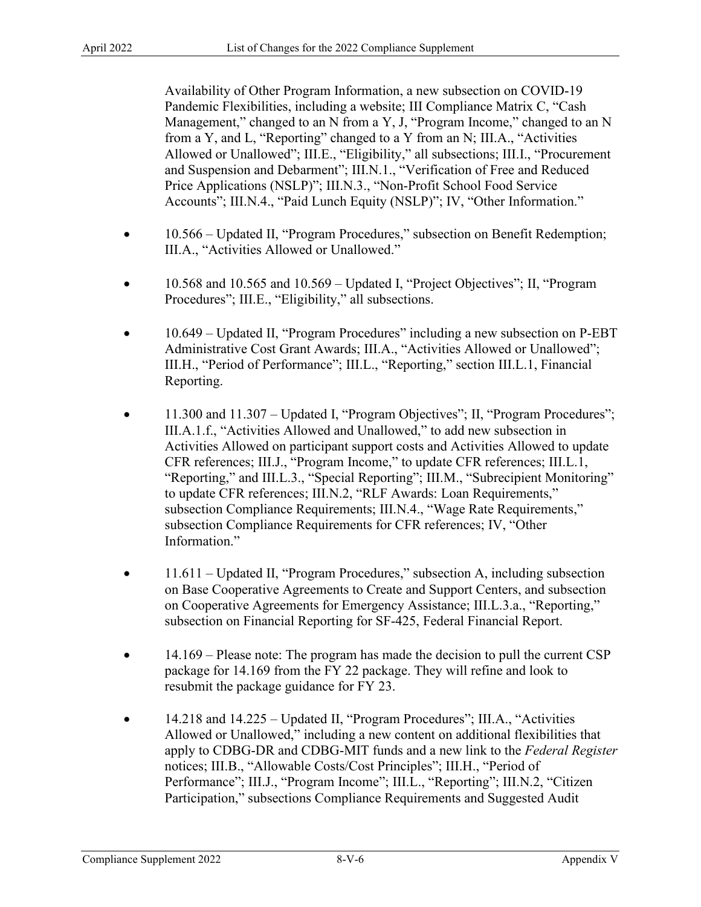Management," changed to an N from a Y, J, "Program Income," changed to an N Availability of Other Program Information, a new subsection on COVID-19 Pandemic Flexibilities, including a website; III Compliance Matrix C, "Cash from a Y, and L, "Reporting" changed to a Y from an N; III.A., "Activities Allowed or Unallowed"; III.E., "Eligibility," all subsections; III.I., "Procurement and Suspension and Debarment"; III.N.1., "Verification of Free and Reduced Price Applications (NSLP)"; III.N.3., "Non-Profit School Food Service Accounts"; III.N.4., "Paid Lunch Equity (NSLP)"; IV, "Other Information."

- 10.566 Updated II, "Program Procedures," subsection on Benefit Redemption; III.A., "Activities Allowed or Unallowed."
- 10.568 and 10.565 and 10.569 Updated I, "Project Objectives"; II, "Program Procedures"; III.E., "Eligibility," all subsections.
- 10.649 Updated II, "Program Procedures" including a new subsection on P-EBT Administrative Cost Grant Awards; III.A., "Activities Allowed or Unallowed"; III.H., "Period of Performance"; III.L., "Reporting," section III.L.1, Financial Reporting.
- 11.300 and 11.307 Updated I, "Program Objectives"; II, "Program Procedures"; III.A.1.f., "Activities Allowed and Unallowed," to add new subsection in Activities Allowed on participant support costs and Activities Allowed to update CFR references; III.J., "Program Income," to update CFR references; III.L.1, "Reporting," and III.L.3., "Special Reporting"; III.M., "Subrecipient Monitoring" to update CFR references; III.N.2, "RLF Awards: Loan Requirements," subsection Compliance Requirements; III.N.4., "Wage Rate Requirements," subsection Compliance Requirements for CFR references; IV, "Other Information."
- 11.611 Updated II, "Program Procedures," subsection A, including subsection on Base Cooperative Agreements to Create and Support Centers, and subsection on Cooperative Agreements for Emergency Assistance; III.L.3.a., "Reporting," subsection on Financial Reporting for SF-425, Federal Financial Report.
- 14.169 Please note: The program has made the decision to pull the current CSP package for 14.169 from the FY 22 package. They will refine and look to resubmit the package guidance for FY 23.
- apply to CDBG-DR and CDBG-MIT funds and a new link to the *Federal Register*  Performance"; III.J., "Program Income"; III.L., "Reporting"; III.N.2, "Citizen • 14.218 and 14.225 – Updated II, "Program Procedures"; III.A., "Activities Allowed or Unallowed," including a new content on additional flexibilities that notices; III.B., "Allowable Costs/Cost Principles"; III.H., "Period of Participation," subsections Compliance Requirements and Suggested Audit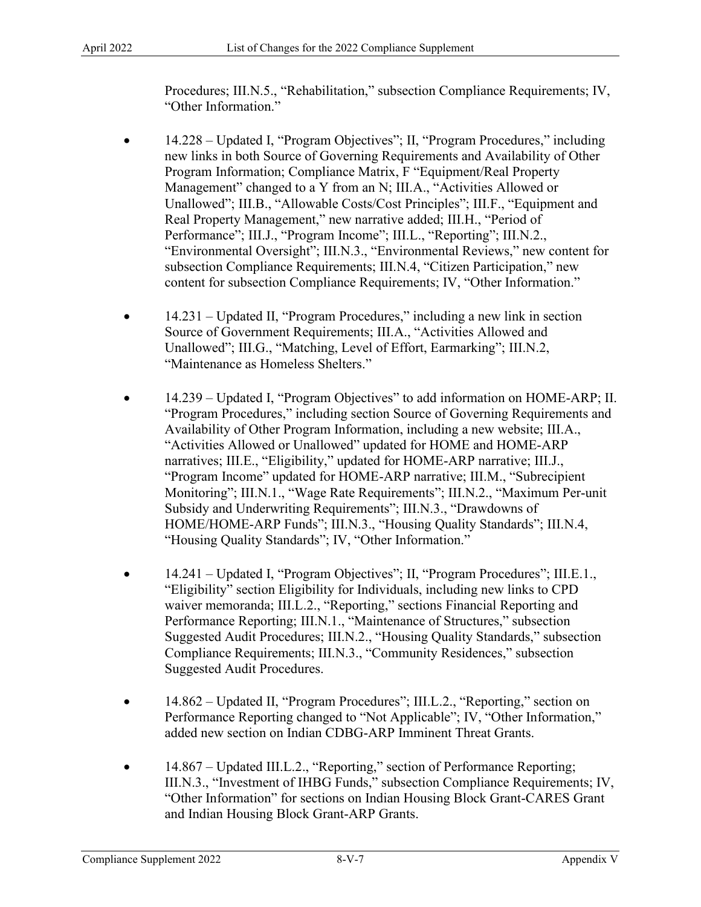Procedures; III.N.5., "Rehabilitation," subsection Compliance Requirements; IV, "Other Information."

- "Environmental Oversight"; III.N.3., "Environmental Reviews," new content for • 14.228 – Updated I, "Program Objectives"; II, "Program Procedures," including new links in both Source of Governing Requirements and Availability of Other Program Information; Compliance Matrix, F "Equipment/Real Property Management" changed to a Y from an N; III.A., "Activities Allowed or Unallowed"; III.B., "Allowable Costs/Cost Principles"; III.F., "Equipment and Real Property Management," new narrative added; III.H., "Period of Performance"; III.J., "Program Income"; III.L., "Reporting"; III.N.2., subsection Compliance Requirements; III.N.4, "Citizen Participation," new content for subsection Compliance Requirements; IV, "Other Information."
- 14.231 Updated II, "Program Procedures," including a new link in section Source of Government Requirements; III.A., "Activities Allowed and Unallowed"; III.G., "Matching, Level of Effort, Earmarking"; III.N.2, "Maintenance as Homeless Shelters."
- Availability of Other Program Information, including a new website; III.A., narratives; III.E., "Eligibility," updated for HOME-ARP narrative; III.J., "Housing Quality Standards"; IV, "Other Information." • 14.239 – Updated I, "Program Objectives" to add information on HOME-ARP; II. "Program Procedures," including section Source of Governing Requirements and "Activities Allowed or Unallowed" updated for HOME and HOME-ARP "Program Income" updated for HOME-ARP narrative; III.M., "Subrecipient Monitoring"; III.N.1., "Wage Rate Requirements"; III.N.2., "Maximum Per-unit Subsidy and Underwriting Requirements"; III.N.3., "Drawdowns of HOME/HOME-ARP Funds"; III.N.3., "Housing Quality Standards"; III.N.4,
- 14.241 Updated I, "Program Objectives"; II, "Program Procedures"; III.E.1., "Eligibility" section Eligibility for Individuals, including new links to CPD waiver memoranda; III.L.2., "Reporting," sections Financial Reporting and Performance Reporting; III.N.1., "Maintenance of Structures," subsection Suggested Audit Procedures; III.N.2., "Housing Quality Standards," subsection Compliance Requirements; III.N.3., "Community Residences," subsection Suggested Audit Procedures.
- 14.862 Updated II, "Program Procedures"; III.L.2., "Reporting," section on Performance Reporting changed to "Not Applicable"; IV, "Other Information," added new section on Indian CDBG-ARP Imminent Threat Grants.
- 14.867 Updated III.L.2., "Reporting," section of Performance Reporting; III.N.3., "Investment of IHBG Funds," subsection Compliance Requirements; IV, "Other Information" for sections on Indian Housing Block Grant-CARES Grant and Indian Housing Block Grant-ARP Grants.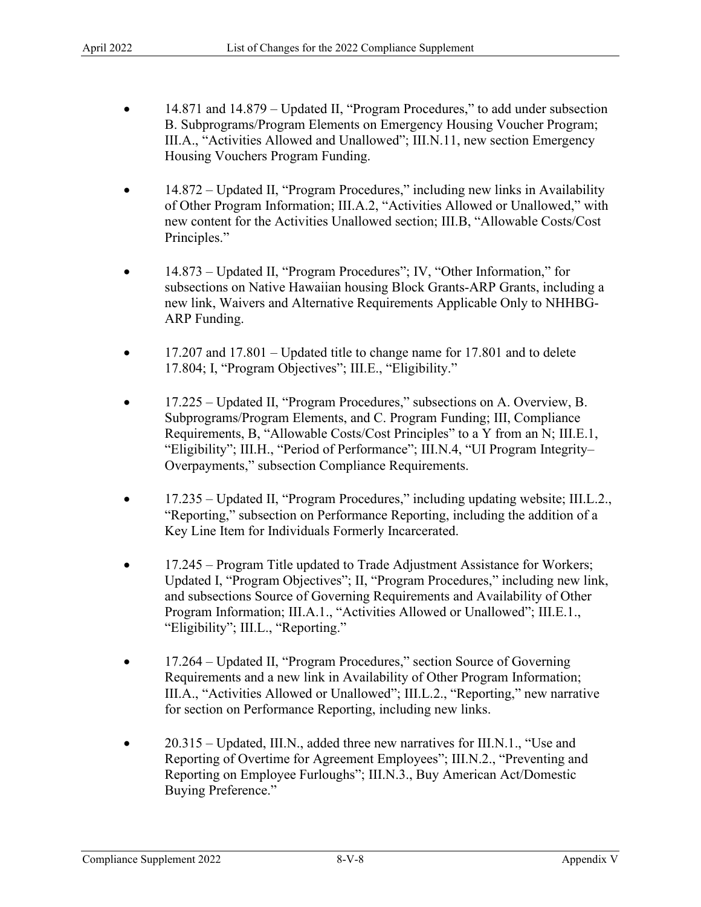- 14.871 and 14.879 Updated II, "Program Procedures," to add under subsection B. Subprograms/Program Elements on Emergency Housing Voucher Program; III.A., "Activities Allowed and Unallowed"; [III.N.11](http:III.N.11), new section Emergency Housing Vouchers Program Funding.
- 14.872 Updated II, "Program Procedures," including new links in Availability of Other Program Information; III.A.2, "Activities Allowed or Unallowed," with new content for the Activities Unallowed section; III.B, "Allowable Costs/Cost Principles."
- 14.873 Updated II, "Program Procedures"; IV, "Other Information," for subsections on Native Hawaiian housing Block Grants-ARP Grants, including a new link, Waivers and Alternative Requirements Applicable Only to NHHBG-ARP Funding.
- 17.207 and 17.801 Updated title to change name for 17.801 and to delete 17.804; I, "Program Objectives"; III.E., "Eligibility."
- Requirements, B, "Allowable Costs/Cost Principles" to a Y from an N; III.E.1, • 17.225 – Updated II, "Program Procedures," subsections on A. Overview, B. Subprograms/Program Elements, and C. Program Funding; III, Compliance "Eligibility"; III.H., "Period of Performance"; III.N.4, "UI Program Integrity– Overpayments," subsection Compliance Requirements.
- Key Line Item for Individuals Formerly Incarcerated. • 17.235 – Updated II, "Program Procedures," including updating website; III.L.2., "Reporting," subsection on Performance Reporting, including the addition of a
- 17.245 Program Title updated to Trade Adjustment Assistance for Workers; Updated I, "Program Objectives"; II, "Program Procedures," including new link, and subsections Source of Governing Requirements and Availability of Other Program Information; III.A.1., "Activities Allowed or Unallowed"; III.E.1., "Eligibility"; III.L., "Reporting."
- Requirements and a new link in Availability of Other Program Information; for section on Performance Reporting, including new links. • 17.264 – Updated II, "Program Procedures," section Source of Governing III.A., "Activities Allowed or Unallowed"; III.L.2., "Reporting," new narrative
- 20.315 Updated, III.N., added three new narratives for III.N.1., "Use and Reporting of Overtime for Agreement Employees"; III.N.2., "Preventing and Reporting on Employee Furloughs"; III.N.3., Buy American Act/Domestic Buying Preference."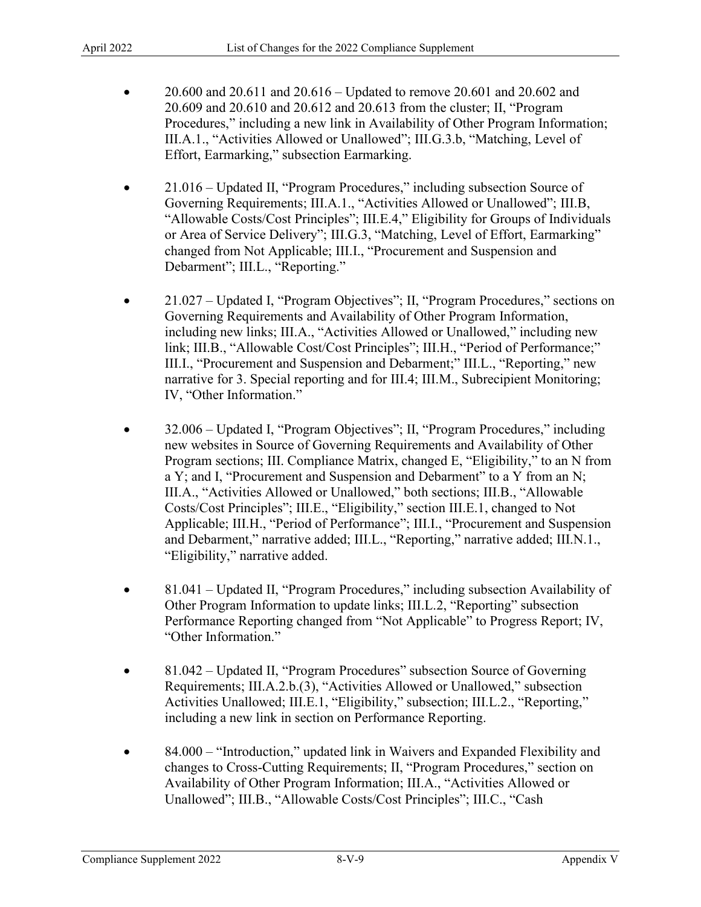- 20.609 and 20.610 and 20.612 and 20.613 from the cluster; II, "Program Procedures," including a new link in Availability of Other Program Information; III.A.1., "Activities Allowed or Unallowed"; III.G.3.b, "Matching, Level of • 20.600 and 20.611 and  $20.616 -$  Updated to remove 20.601 and 20.602 and Effort, Earmarking," subsection Earmarking.
- "Allowable Costs/Cost Principles"; III.E.4," Eligibility for Groups of Individuals • 21.016 – Updated II, "Program Procedures," including subsection Source of Governing Requirements; III.A.1., "Activities Allowed or Unallowed"; III.B, or Area of Service Delivery"; III.G.3, "Matching, Level of Effort, Earmarking" changed from Not Applicable; III.I., "Procurement and Suspension and Debarment"; III.L., "Reporting."
- link; III.B., "Allowable Cost/Cost Principles"; III.H., "Period of Performance;" narrative for 3. Special reporting and for III.4; III.M., Subrecipient Monitoring; • 21.027 – Updated I, "Program Objectives"; II, "Program Procedures," sections on Governing Requirements and Availability of Other Program Information, including new links; III.A., "Activities Allowed or Unallowed," including new III.I., "Procurement and Suspension and Debarment;" III.L., "Reporting," new IV, "Other Information."
- a Y; and I, "Procurement and Suspension and Debarment" to a Y from an N; • 32.006 – Updated I, "Program Objectives"; II, "Program Procedures," including new websites in Source of Governing Requirements and Availability of Other Program sections; III. Compliance Matrix, changed E, "Eligibility," to an N from III.A., "Activities Allowed or Unallowed," both sections; III.B., "Allowable Costs/Cost Principles"; III.E., "Eligibility," section III.E.1, changed to Not Applicable; III.H., "Period of Performance"; III.I., "Procurement and Suspension and Debarment," narrative added; III.L., "Reporting," narrative added; III.N.1., "Eligibility," narrative added.
- 81.041 Updated II, "Program Procedures," including subsection Availability of Other Program Information to update links; III.L.2, "Reporting" subsection Performance Reporting changed from "Not Applicable" to Progress Report; IV, "Other Information."
- 81.042 Updated II, "Program Procedures" subsection Source of Governing Requirements; III.A.2.b.(3), "Activities Allowed or Unallowed," subsection Activities Unallowed; III.E.1, "Eligibility," subsection; III.L.2., "Reporting," including a new link in section on Performance Reporting.
- 84.000 "Introduction," updated link in Waivers and Expanded Flexibility and changes to Cross-Cutting Requirements; II, "Program Procedures," section on Availability of Other Program Information; III.A., "Activities Allowed or Unallowed"; III.B., "Allowable Costs/Cost Principles"; III.C., "Cash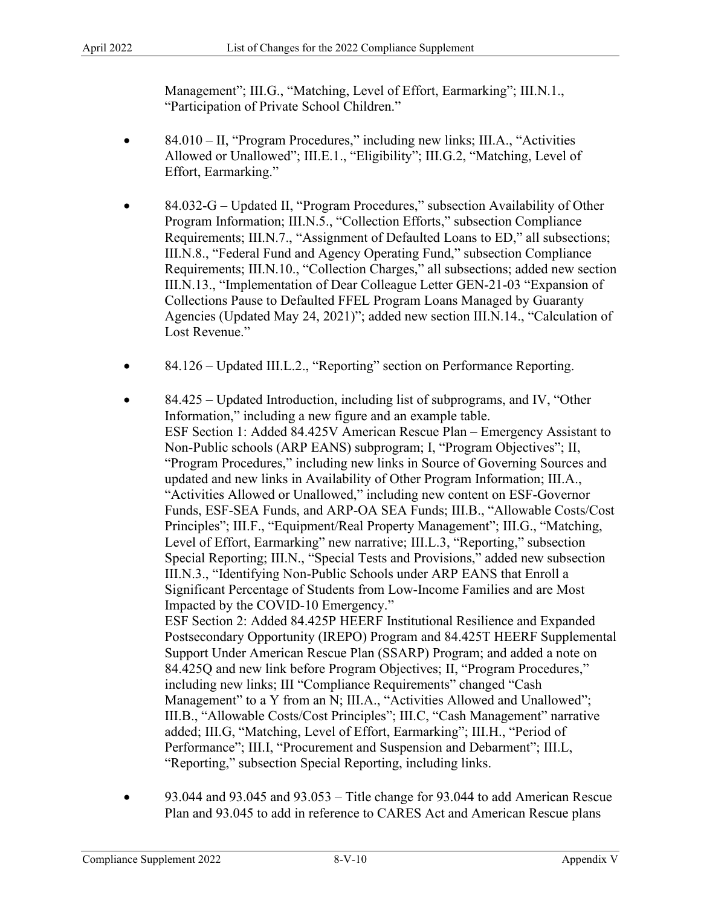Management"; III.G., "Matching, Level of Effort, Earmarking"; III.N.1., "Participation of Private School Children."

- 84.010 II, "Program Procedures," including new links; III.A., "Activities Allowed or Unallowed"; III.E.1., "Eligibility"; III.G.2, "Matching, Level of Effort, Earmarking."
- 84.032-G Updated II, "Program Procedures," subsection Availability of Other Program Information; III.N.5., "Collection Efforts," subsection Compliance Requirements; III.N.7., "Assignment of Defaulted Loans to ED," all subsections; III.N.8., "Federal Fund and Agency Operating Fund," subsection Compliance Requirements; [III.N.10](http:III.N.10)., "Collection Charges," all subsections; added new section [III.N.13.](http:III.N.13), "Implementation of Dear Colleague Letter GEN-21-03 "Expansion of Collections Pause to Defaulted FFEL Program Loans Managed by Guaranty Agencies (Updated May 24, 2021)"; added new section [III.N.14](http:III.N.14)., "Calculation of Lost Revenue."
- 84.126 Updated III.L.2., "Reporting" section on Performance Reporting.
- ESF Section 1: Added 84.425V American Rescue Plan Emergency Assistant to ESF Section 2: Added 84.425P HEERF Institutional Resilience and Expanded including new links; III "Compliance Requirements" changed "Cash III.B., "Allowable Costs/Cost Principles"; III.C, "Cash Management" narrative • 84.425 – Updated Introduction, including list of subprograms, and IV, "Other Information," including a new figure and an example table. Non-Public schools (ARP EANS) subprogram; I, "Program Objectives"; II, "Program Procedures," including new links in Source of Governing Sources and updated and new links in Availability of Other Program Information; III.A., "Activities Allowed or Unallowed," including new content on ESF-Governor Funds, ESF-SEA Funds, and ARP-OA SEA Funds; III.B., "Allowable Costs/Cost Principles"; III.F., "Equipment/Real Property Management"; III.G., "Matching, Level of Effort, Earmarking" new narrative; III.L.3, "Reporting," subsection Special Reporting; III.N., "Special Tests and Provisions," added new subsection III.N.3., "Identifying Non-Public Schools under ARP EANS that Enroll a Significant Percentage of Students from Low-Income Families and are Most Impacted by the COVID-10 Emergency." Postsecondary Opportunity (IREPO) Program and 84.425T HEERF Supplemental Support Under American Rescue Plan (SSARP) Program; and added a note on 84.425Q and new link before Program Objectives; II, "Program Procedures," Management" to a Y from an N; III.A., "Activities Allowed and Unallowed"; added; III.G, "Matching, Level of Effort, Earmarking"; III.H., "Period of Performance"; III.I, "Procurement and Suspension and Debarment"; III.L, "Reporting," subsection Special Reporting, including links.
- 93.044 and 93.045 and 93.053 Title change for 93.044 to add American Rescue Plan and 93.045 to add in reference to CARES Act and American Rescue plans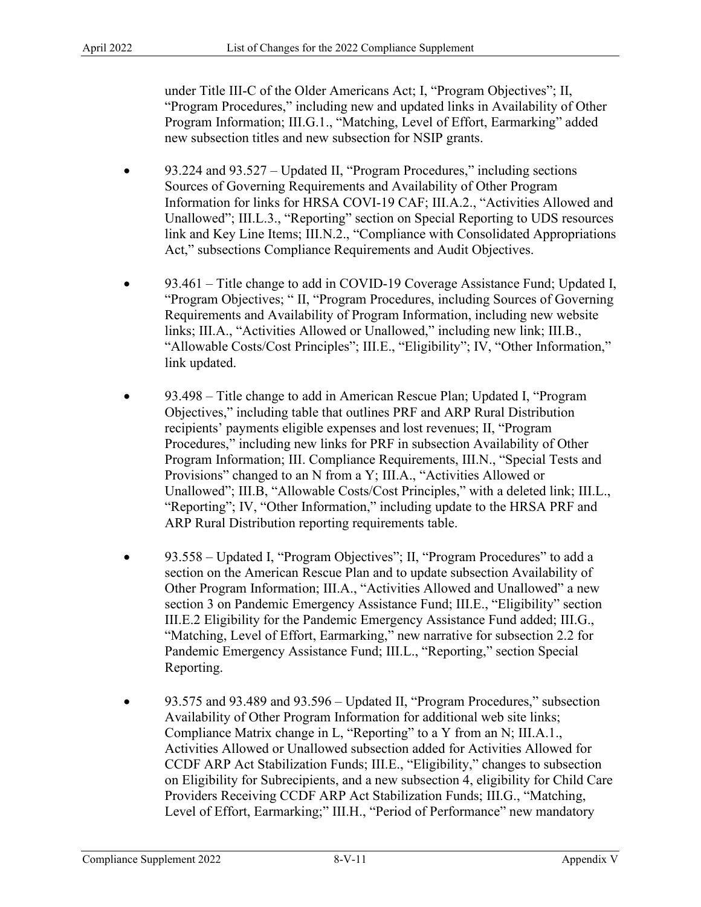"Program Procedures," including new and updated links in Availability of Other under Title III-C of the Older Americans Act; I, "Program Objectives"; II, Program Information; III.G.1., "Matching, Level of Effort, Earmarking" added new subsection titles and new subsection for NSIP grants.

- Information for links for HRSA COVI-19 CAF; III.A.2., "Activities Allowed and • 93.224 and 93.527 – Updated II, "Program Procedures," including sections Sources of Governing Requirements and Availability of Other Program Unallowed"; III.L.3., "Reporting" section on Special Reporting to UDS resources link and Key Line Items; III.N.2., "Compliance with Consolidated Appropriations Act," subsections Compliance Requirements and Audit Objectives.
- 93.461 Title change to add in COVID-19 Coverage Assistance Fund; Updated I, "Program Objectives; " II, "Program Procedures, including Sources of Governing Requirements and Availability of Program Information, including new website links; III.A., "Activities Allowed or Unallowed," including new link; III.B., "Allowable Costs/Cost Principles"; III.E., "Eligibility"; IV, "Other Information," link updated.
- "Reporting"; IV, "Other Information," including update to the HRSA PRF and • 93.498 – Title change to add in American Rescue Plan; Updated I, "Program Objectives," including table that outlines PRF and ARP Rural Distribution recipients' payments eligible expenses and lost revenues; II, "Program Procedures," including new links for PRF in subsection Availability of Other Program Information; III. Compliance Requirements, III.N., "Special Tests and Provisions" changed to an N from a Y; III.A., "Activities Allowed or Unallowed"; III.B, "Allowable Costs/Cost Principles," with a deleted link; III.L., ARP Rural Distribution reporting requirements table.
- 93.558 Updated I, "Program Objectives"; II, "Program Procedures" to add a Other Program Information; III.A., "Activities Allowed and Unallowed" a new section on the American Rescue Plan and to update subsection Availability of section 3 on Pandemic Emergency Assistance Fund; III.E., "Eligibility" section III.E.2 Eligibility for the Pandemic Emergency Assistance Fund added; III.G., "Matching, Level of Effort, Earmarking," new narrative for subsection 2.2 for Pandemic Emergency Assistance Fund; III.L., "Reporting," section Special Reporting.
- 93.575 and 93.489 and 93.596 Updated II, "Program Procedures," subsection Availability of Other Program Information for additional web site links; Compliance Matrix change in L, "Reporting" to a Y from an N; III.A.1., Activities Allowed or Unallowed subsection added for Activities Allowed for CCDF ARP Act Stabilization Funds; III.E., "Eligibility," changes to subsection on Eligibility for Subrecipients, and a new subsection 4, eligibility for Child Care Providers Receiving CCDF ARP Act Stabilization Funds; III.G., "Matching, Level of Effort, Earmarking;" III.H., "Period of Performance" new mandatory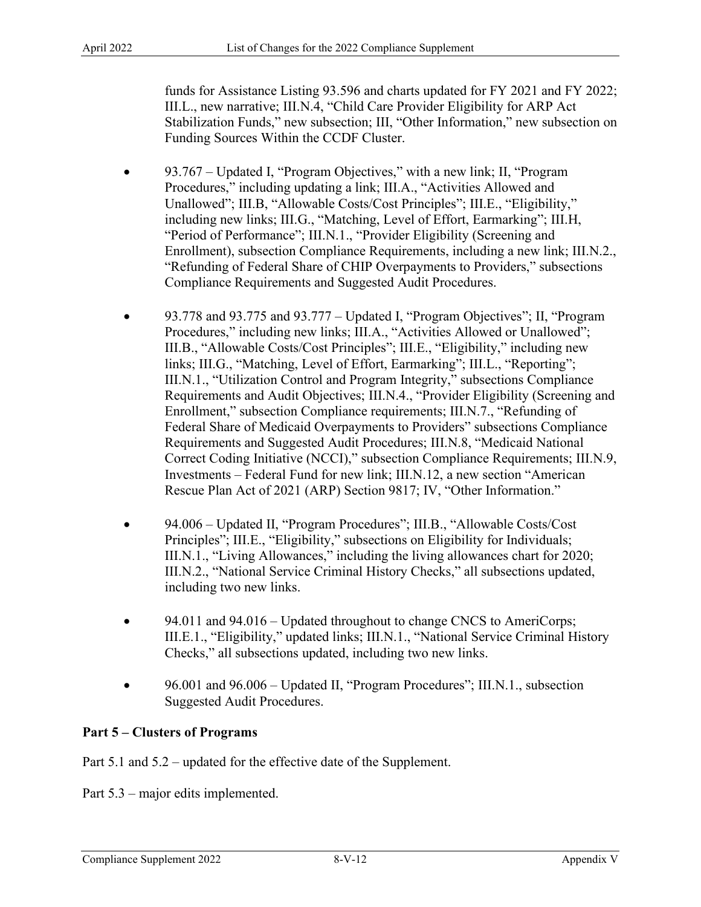Stabilization Funds," new subsection; III, "Other Information," new subsection on funds for Assistance Listing 93.596 and charts updated for FY 2021 and FY 2022; III.L., new narrative; III.N.4, "Child Care Provider Eligibility for ARP Act Funding Sources Within the CCDF Cluster.

- 93.767 Updated I, "Program Objectives," with a new link; II, "Program Procedures," including updating a link; III.A., "Activities Allowed and Unallowed"; III.B, "Allowable Costs/Cost Principles"; III.E., "Eligibility," including new links; III.G., "Matching, Level of Effort, Earmarking"; III.H, "Period of Performance"; III.N.1., "Provider Eligibility (Screening and Enrollment), subsection Compliance Requirements, including a new link; III.N.2., "Refunding of Federal Share of CHIP Overpayments to Providers," subsections Compliance Requirements and Suggested Audit Procedures.
- Requirements and Audit Objectives; III.N.4., "Provider Eligibility (Screening and Investments – Federal Fund for new link; [III.N.12](http:III.N.12), a new section "American • 93.778 and 93.775 and 93.777 – Updated I, "Program Objectives"; II, "Program Procedures," including new links; III.A., "Activities Allowed or Unallowed"; III.B., "Allowable Costs/Cost Principles"; III.E., "Eligibility," including new links; III.G., "Matching, Level of Effort, Earmarking"; III.L., "Reporting"; III.N.1., "Utilization Control and Program Integrity," subsections Compliance Enrollment," subsection Compliance requirements; III.N.7., "Refunding of Federal Share of Medicaid Overpayments to Providers" subsections Compliance Requirements and Suggested Audit Procedures; III.N.8, "Medicaid National Correct Coding Initiative (NCCI)," subsection Compliance Requirements; III.N.9, Rescue Plan Act of 2021 (ARP) Section 9817; IV, "Other Information."
- 94.006 Updated II, "Program Procedures"; III.B., "Allowable Costs/Cost including two new links. Principles"; III.E., "Eligibility," subsections on Eligibility for Individuals; III.N.1., "Living Allowances," including the living allowances chart for 2020; III.N.2., "National Service Criminal History Checks," all subsections updated,
- Checks," all subsections updated, including two new links. • 94.011 and 94.016 – Updated throughout to change CNCS to AmeriCorps; III.E.1., "Eligibility," updated links; III.N.1., "National Service Criminal History
- 96.001 and 96.006 Updated II, "Program Procedures"; III.N.1., subsection Suggested Audit Procedures.

# **Part 5 – Clusters of Programs**

Part 5.1 and 5.2 – updated for the effective date of the Supplement.

Part 5.3 – major edits implemented.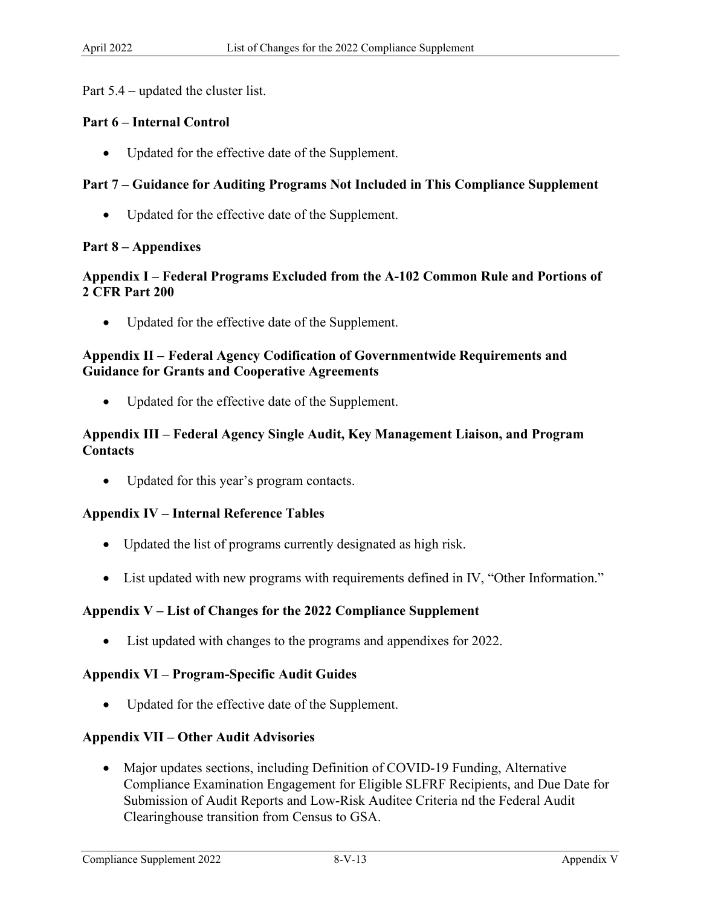Part 5.4 – updated the cluster list.

## **Part 6 – Internal Control**

• Updated for the effective date of the Supplement.

## **Part 7 – Guidance for Auditing Programs Not Included in This Compliance Supplement**

• Updated for the effective date of the Supplement.

### **Part 8 – Appendixes**

## **Appendix I – Federal Programs Excluded from the A-102 Common Rule and Portions of 2 CFR Part 200**

• Updated for the effective date of the Supplement.

## **Appendix II – Federal Agency Codification of Governmentwide Requirements and Guidance for Grants and Cooperative Agreements**

• Updated for the effective date of the Supplement.

## **Appendix III – Federal Agency Single Audit, Key Management Liaison, and Program Contacts**

Updated for this year's program contacts.

### **Appendix IV – Internal Reference Tables**

- Updated the list of programs currently designated as high risk.
- List updated with new programs with requirements defined in IV, "Other Information."

### **Appendix V – List of Changes for the 2022 Compliance Supplement**

• List updated with changes to the programs and appendixes for 2022.

### **Appendix VI – Program-Specific Audit Guides**

Updated for the effective date of the Supplement.

### **Appendix VII – Other Audit Advisories**

• Major updates sections, including Definition of COVID-19 Funding, Alternative Compliance Examination Engagement for Eligible SLFRF Recipients, and Due Date for Submission of Audit Reports and Low-Risk Auditee Criteria nd the Federal Audit Clearinghouse transition from Census to GSA.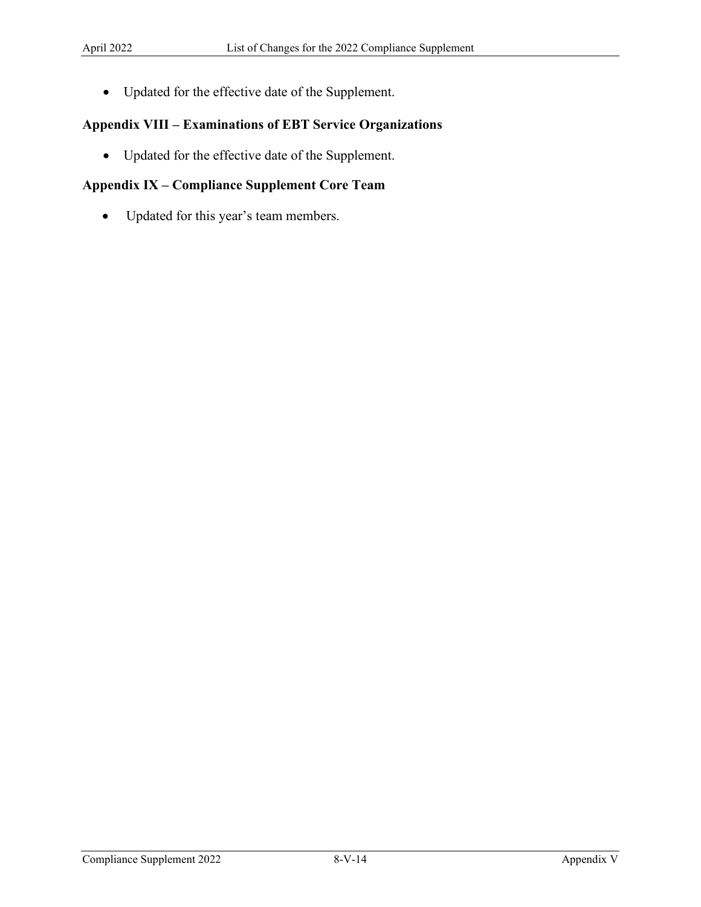• Updated for the effective date of the Supplement.

## **Appendix VIII – Examinations of EBT Service Organizations**

• Updated for the effective date of the Supplement.

# **Appendix IX – Compliance Supplement Core Team**

• Updated for this year's team members.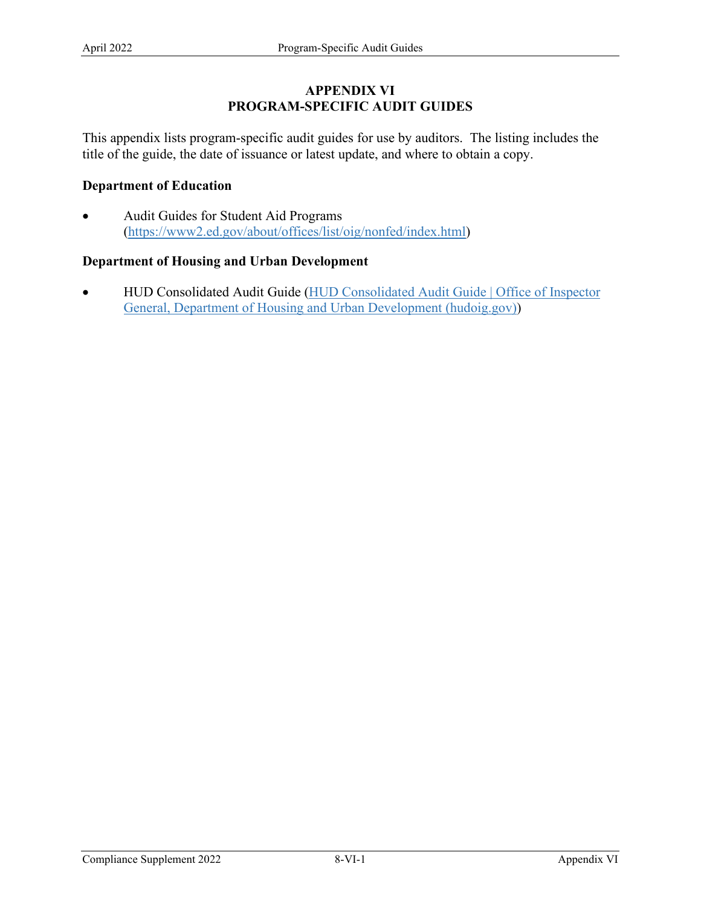## **APPENDIX VI PROGRAM-SPECIFIC AUDIT GUIDES**

 This appendix lists program-specific audit guides for use by auditors. The listing includes the title of the guide, the date of issuance or latest update, and where to obtain a copy.

## **Department of Education**

• Audit Guides for Student Aid Programs [\(https://www2.ed.gov/about/offices/list/oig/nonfed/index.html\)](https://www2.ed.gov/about/offices/list/oig/nonfed/index.html)

# **Department of Housing and Urban Development**

• HUD Consolidated Audit Guide (HUD Consolidated Audit Guide | Office of Inspector [General, Department of Housing and Urban Development \(hudoig.gov\)\)](https://www.hudoig.gov/library/single-audit-guidance/hud-consolidated-audit-guide)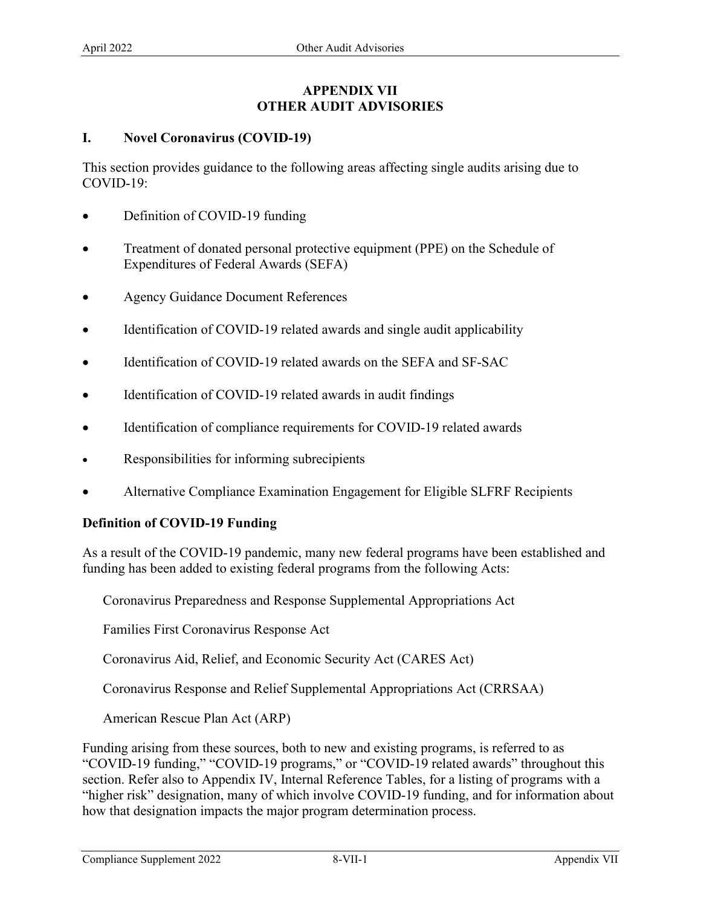## **APPENDIX VII OTHER AUDIT ADVISORIES**

## **I. Novel Coronavirus (COVID-19)**

This section provides guidance to the following areas affecting single audits arising due to COVID-19:

- Definition of COVID-19 funding
- Expenditures of Federal Awards (SEFA) • Treatment of donated personal protective equipment (PPE) on the Schedule of
- Agency Guidance Document References
- Identification of COVID-19 related awards and single audit applicability
- Identification of COVID-19 related awards on the SEFA and SF-SAC
- Identification of COVID-19 related awards in audit findings
- Identification of compliance requirements for COVID-19 related awards
- Responsibilities for informing subrecipients
- Alternative Compliance Examination Engagement for Eligible SLFRF Recipients

### **Definition of COVID-19 Funding**

As a result of the COVID-19 pandemic, many new federal programs have been established and funding has been added to existing federal programs from the following Acts:

Coronavirus Preparedness and Response Supplemental Appropriations Act

Families First Coronavirus Response Act

Coronavirus Aid, Relief, and Economic Security Act (CARES Act)

Coronavirus Response and Relief Supplemental Appropriations Act (CRRSAA)

American Rescue Plan Act (ARP)

Funding arising from these sources, both to new and existing programs, is referred to as "COVID-19 funding," "COVID-19 programs," or "COVID-19 related awards" throughout this section. Refer also to Appendix IV, Internal Reference Tables, for a listing of programs with a "higher risk" designation, many of which involve COVID-19 funding, and for information about how that designation impacts the major program determination process.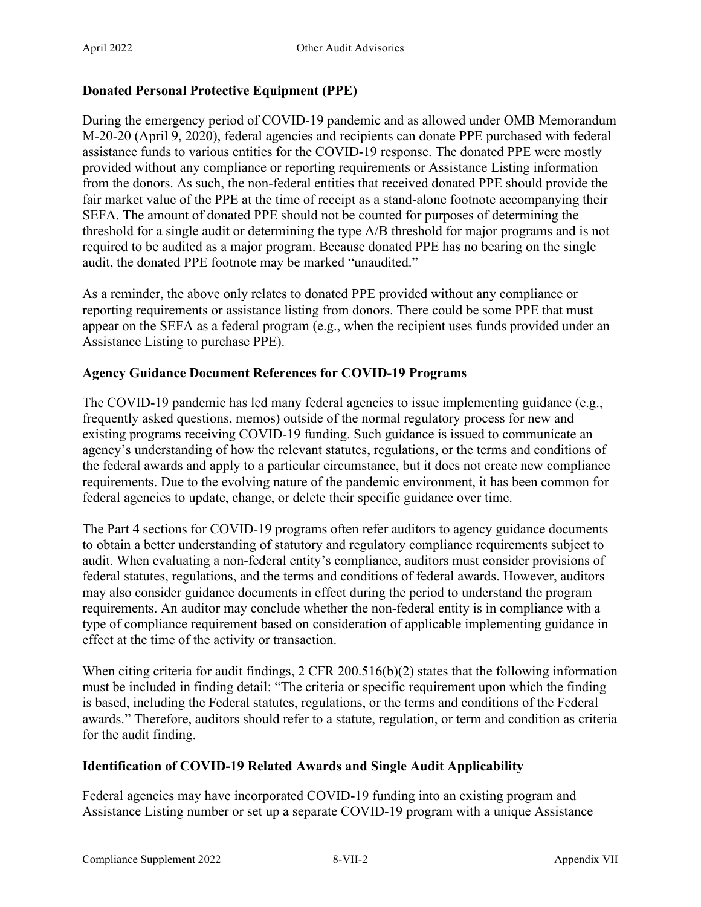# **Donated Personal Protective Equipment (PPE)**

 M-20-20 (April 9, 2020), federal agencies and recipients can donate PPE purchased with federal threshold for a single audit or determining the type A/B threshold for major programs and is not required to be audited as a major program. Because donated PPE has no bearing on the single audit, the donated PPE footnote may be marked "unaudited." During the emergency period of COVID-19 pandemic and as allowed under OMB Memorandum assistance funds to various entities for the COVID-19 response. The donated PPE were mostly provided without any compliance or reporting requirements or Assistance Listing information from the donors. As such, the non-federal entities that received donated PPE should provide the fair market value of the PPE at the time of receipt as a stand-alone footnote accompanying their SEFA. The amount of donated PPE should not be counted for purposes of determining the

 reporting requirements or assistance listing from donors. There could be some PPE that must appear on the SEFA as a federal program (e.g., when the recipient uses funds provided under an As a reminder, the above only relates to donated PPE provided without any compliance or Assistance Listing to purchase PPE).

## **Agency Guidance Document References for COVID-19 Programs**

The COVID-19 pandemic has led many federal agencies to issue implementing guidance (e.g., frequently asked questions, memos) outside of the normal regulatory process for new and existing programs receiving COVID-19 funding. Such guidance is issued to communicate an agency's understanding of how the relevant statutes, regulations, or the terms and conditions of the federal awards and apply to a particular circumstance, but it does not create new compliance requirements. Due to the evolving nature of the pandemic environment, it has been common for federal agencies to update, change, or delete their specific guidance over time.

 The Part 4 sections for COVID-19 programs often refer auditors to agency guidance documents to obtain a better understanding of statutory and regulatory compliance requirements subject to audit. When evaluating a non-federal entity's compliance, auditors must consider provisions of federal statutes, regulations, and the terms and conditions of federal awards. However, auditors may also consider guidance documents in effect during the period to understand the program requirements. An auditor may conclude whether the non-federal entity is in compliance with a type of compliance requirement based on consideration of applicable implementing guidance in effect at the time of the activity or transaction.

When citing criteria for audit findings, 2 CFR 200.516(b)(2) states that the following information must be included in finding detail: "The criteria or specific requirement upon which the finding is based, including the Federal statutes, regulations, or the terms and conditions of the Federal awards." Therefore, auditors should refer to a statute, regulation, or term and condition as criteria for the audit finding.

## **Identification of COVID-19 Related Awards and Single Audit Applicability**

 Federal agencies may have incorporated COVID-19 funding into an existing program and Assistance Listing number or set up a separate COVID-19 program with a unique Assistance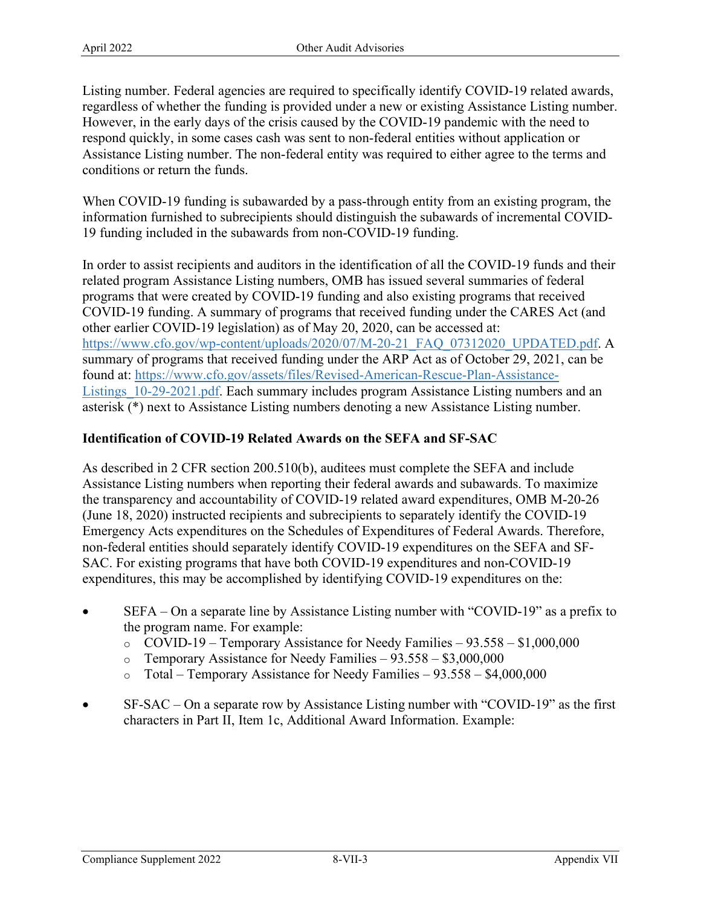Listing number. Federal agencies are required to specifically identify COVID-19 related awards, regardless of whether the funding is provided under a new or existing Assistance Listing number. However, in the early days of the crisis caused by the COVID-19 pandemic with the need to respond quickly, in some cases cash was sent to non-federal entities without application or Assistance Listing number. The non-federal entity was required to either agree to the terms and conditions or return the funds.

When COVID-19 funding is subawarded by a pass-through entity from an existing program, the information furnished to subrecipients should distinguish the subawards of incremental COVID-19 funding included in the subawards from non-COVID-19 funding.

 In order to assist recipients and auditors in the identification of all the COVID-19 funds and their related program Assistance Listing numbers, OMB has issued several summaries of federal programs that were created by COVID-19 funding and also existing programs that received COVID-19 funding. A summary of programs that received funding under the CARES Act (and other earlier COVID-19 legislation) as of May 20, 2020, can be accessed at: [https://www.cfo.gov/wp-content/uploads/2020/07/M-20-21\\_FAQ\\_07312020\\_UPDATED.pdf.](https://www.cfo.gov/wp-content/uploads/2020/07/M-20-21_FAQ_07312020_UPDATED.pdf) A summary of programs that received funding under the ARP Act as of October 29, 2021, can be found at: [https://www.cfo.gov/assets/files/Revised-American-Rescue-Plan-Assistance-](https://www.cfo.gov/assets/files/Revised-American-Rescue-Plan-Assistance-Listings_10-29-2021.pdf)Listings 10-29-2021.pdf. Each summary includes program Assistance Listing numbers and an asterisk (\*) next to Assistance Listing numbers denoting a new Assistance Listing number.

# **Identification of COVID-19 Related Awards on the SEFA and SF-SAC**

 Emergency Acts expenditures on the Schedules of Expenditures of Federal Awards. Therefore, As described in 2 CFR section 200.510(b), auditees must complete the SEFA and include Assistance Listing numbers when reporting their federal awards and subawards. To maximize the transparency and accountability of COVID-19 related award expenditures, OMB M-20-26 (June 18, 2020) instructed recipients and subrecipients to separately identify the COVID-19 non-federal entities should separately identify COVID-19 expenditures on the SEFA and SF-SAC. For existing programs that have both COVID-19 expenditures and non-COVID-19 expenditures, this may be accomplished by identifying COVID-19 expenditures on the:

- the program name. For example: • SEFA – On a separate line by Assistance Listing number with "COVID-19" as a prefix to
	- $\degree$  COVID-19 Temporary Assistance for Needy Families 93.558 \$1,000,000
	- o Temporary Assistance for Needy Families 93.558 \$3,000,000
	- $\circ$  Total Temporary Assistance for Needy Families 93.558 \$4,000,000
- SF-SAC On a separate row by Assistance Listing number with "COVID-19" as the first characters in Part II, Item 1c, Additional Award Information. Example: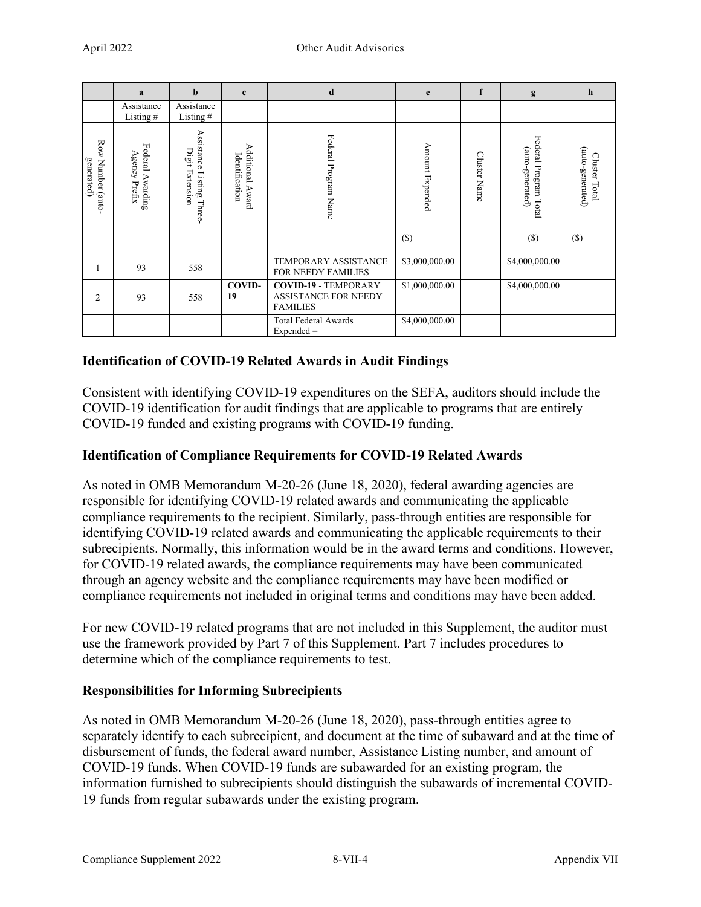|                                 | a                                 | $\mathbf b$                                          | $\mathbf{c}$                          | d                                                                             | e                               | f | g                                             | h                                 |
|---------------------------------|-----------------------------------|------------------------------------------------------|---------------------------------------|-------------------------------------------------------------------------------|---------------------------------|---|-----------------------------------------------|-----------------------------------|
|                                 | Assistance<br>Listing#            | Assistance<br>Listing $#$                            |                                       |                                                                               |                                 |   |                                               |                                   |
| Row Number (auto-<br>generated) | Federal Awarding<br>Agency Prefix | Assistance<br>Digit Extension<br>$Listing$<br>Three- | Additional<br>Identification<br>Award | Federal Program Name                                                          | Amount Expended<br>Cluster Name |   | Federal Program<br>(auto-generated)<br>[ Ctal | (auto-generated)<br>Cluster Total |
|                                 |                                   |                                                      |                                       |                                                                               | $(\$)$                          |   | $(\$\)$                                       | $($)$                             |
|                                 | 93                                | 558                                                  |                                       | <b>TEMPORARY ASSISTANCE</b><br><b>FOR NEEDY FAMILIES</b>                      | \$3,000,000.00                  |   | \$4,000,000.00                                |                                   |
| $\overline{2}$                  | 93                                | 558                                                  | <b>COVID-</b><br>19                   | <b>COVID-19 - TEMPORARY</b><br><b>ASSISTANCE FOR NEEDY</b><br><b>FAMILIES</b> | \$1,000,000.00                  |   | \$4,000,000.00                                |                                   |
|                                 |                                   |                                                      |                                       | <b>Total Federal Awards</b><br>$Expected =$                                   | \$4,000,000.00                  |   |                                               |                                   |

## **Identification of COVID-19 Related Awards in Audit Findings**

Consistent with identifying COVID-19 expenditures on the SEFA, auditors should include the COVID-19 identification for audit findings that are applicable to programs that are entirely COVID-19 funded and existing programs with COVID-19 funding.

## **Identification of Compliance Requirements for COVID-19 Related Awards**

 compliance requirements to the recipient. Similarly, pass-through entities are responsible for As noted in OMB Memorandum M-20-26 (June 18, 2020), federal awarding agencies are responsible for identifying COVID-19 related awards and communicating the applicable identifying COVID-19 related awards and communicating the applicable requirements to their subrecipients. Normally, this information would be in the award terms and conditions. However, for COVID-19 related awards, the compliance requirements may have been communicated through an agency website and the compliance requirements may have been modified or compliance requirements not included in original terms and conditions may have been added.

 determine which of the compliance requirements to test. For new COVID-19 related programs that are not included in this Supplement, the auditor must use the framework provided by Part 7 of this Supplement. Part 7 includes procedures to

### **Responsibilities for Informing Subrecipients**

As noted in OMB Memorandum M-20-26 (June 18, 2020), pass-through entities agree to separately identify to each subrecipient, and document at the time of subaward and at the time of disbursement of funds, the federal award number, Assistance Listing number, and amount of COVID-19 funds. When COVID-19 funds are subawarded for an existing program, the information furnished to subrecipients should distinguish the subawards of incremental COVID-19 funds from regular subawards under the existing program.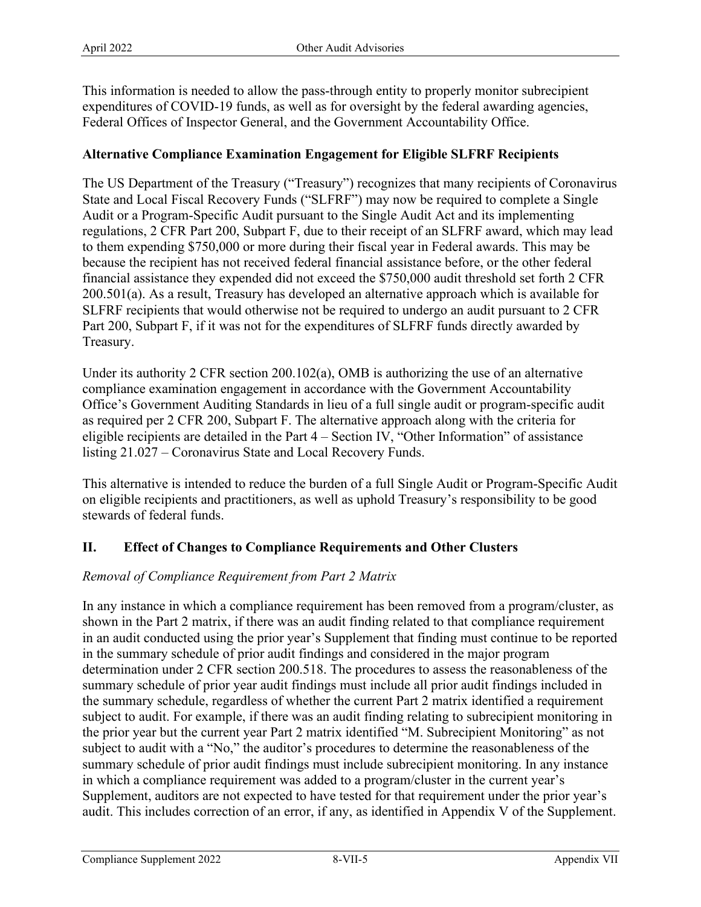This information is needed to allow the pass-through entity to properly monitor subrecipient expenditures of COVID-19 funds, as well as for oversight by the federal awarding agencies, Federal Offices of Inspector General, and the Government Accountability Office.

# **Alternative Compliance Examination Engagement for Eligible SLFRF Recipients**

 because the recipient has not received federal financial assistance before, or the other federal 200.501(a). As a result, Treasury has developed an alternative approach which is available for The US Department of the Treasury ("Treasury") recognizes that many recipients of Coronavirus State and Local Fiscal Recovery Funds ("SLFRF") may now be required to complete a Single Audit or a Program-Specific Audit pursuant to the Single Audit Act and its implementing regulations, 2 CFR Part 200, Subpart F, due to their receipt of an SLFRF award, which may lead to them expending \$750,000 or more during their fiscal year in Federal awards. This may be financial assistance they expended did not exceed the \$750,000 audit threshold set forth 2 CFR SLFRF recipients that would otherwise not be required to undergo an audit pursuant to 2 CFR Part 200, Subpart F, if it was not for the expenditures of SLFRF funds directly awarded by Treasury.

 Under its authority 2 CFR section 200.102(a), OMB is authorizing the use of an alternative eligible recipients are detailed in the Part 4 – Section IV, "Other Information" of assistance compliance examination engagement in accordance with the Government Accountability Office's Government Auditing Standards in lieu of a full single audit or program-specific audit as required per 2 CFR 200, Subpart F. The alternative approach along with the criteria for listing 21.027 – Coronavirus State and Local Recovery Funds.

This alternative is intended to reduce the burden of a full Single Audit or Program-Specific Audit on eligible recipients and practitioners, as well as uphold Treasury's responsibility to be good stewards of federal funds.

## **II. Effect of Changes to Compliance Requirements and Other Clusters**

## *Removal of Compliance Requirement from Part 2 Matrix*

 In any instance in which a compliance requirement has been removed from a program/cluster, as in an audit conducted using the prior year's Supplement that finding must continue to be reported the prior year but the current year Part 2 matrix identified "M. Subrecipient Monitoring" as not in which a compliance requirement was added to a program/cluster in the current year's shown in the Part 2 matrix, if there was an audit finding related to that compliance requirement in the summary schedule of prior audit findings and considered in the major program determination under 2 CFR section 200.518. The procedures to assess the reasonableness of the summary schedule of prior year audit findings must include all prior audit findings included in the summary schedule, regardless of whether the current Part 2 matrix identified a requirement subject to audit. For example, if there was an audit finding relating to subrecipient monitoring in subject to audit with a "No," the auditor's procedures to determine the reasonableness of the summary schedule of prior audit findings must include subrecipient monitoring. In any instance Supplement, auditors are not expected to have tested for that requirement under the prior year's audit. This includes correction of an error, if any, as identified in Appendix V of the Supplement.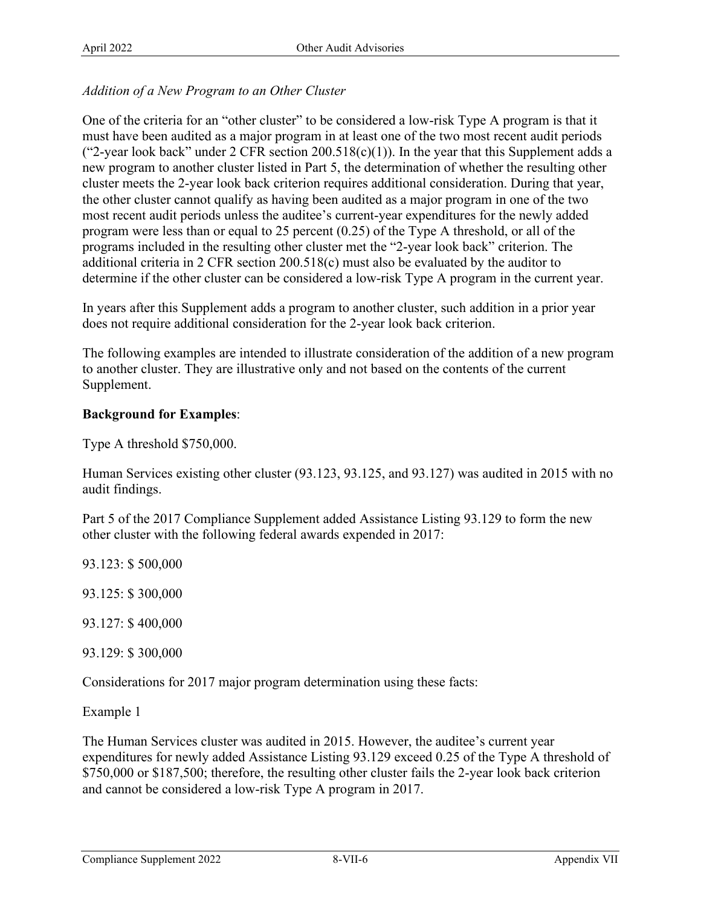# *Addition of a New Program to an Other Cluster*

 must have been audited as a major program in at least one of the two most recent audit periods ("2-year look back" under 2 CFR section  $200.518(c)(1)$ ). In the year that this Supplement adds a One of the criteria for an "other cluster" to be considered a low-risk Type A program is that it new program to another cluster listed in Part 5, the determination of whether the resulting other cluster meets the 2-year look back criterion requires additional consideration. During that year, the other cluster cannot qualify as having been audited as a major program in one of the two most recent audit periods unless the auditee's current-year expenditures for the newly added program were less than or equal to 25 percent (0.25) of the Type A threshold, or all of the programs included in the resulting other cluster met the "2-year look back" criterion. The additional criteria in 2 CFR section 200.518(c) must also be evaluated by the auditor to determine if the other cluster can be considered a low-risk Type A program in the current year.

 does not require additional consideration for the 2-year look back criterion. In years after this Supplement adds a program to another cluster, such addition in a prior year

The following examples are intended to illustrate consideration of the addition of a new program to another cluster. They are illustrative only and not based on the contents of the current Supplement.

## **Background for Examples**:

Type A threshold \$750,000.

Human Services existing other cluster (93.123, 93.125, and 93.127) was audited in 2015 with no audit findings.

Part 5 of the 2017 Compliance Supplement added Assistance Listing 93.129 to form the new other cluster with the following federal awards expended in 2017:

93.123: \$ 500,000

93.125: \$ 300,000

93.127: \$ 400,000

93.129: \$ 300,000

Considerations for 2017 major program determination using these facts:

Example 1

The Human Services cluster was audited in 2015. However, the auditee's current year expenditures for newly added Assistance Listing 93.129 exceed 0.25 of the Type A threshold of \$750,000 or \$187,500; therefore, the resulting other cluster fails the 2-year look back criterion and cannot be considered a low-risk Type A program in 2017.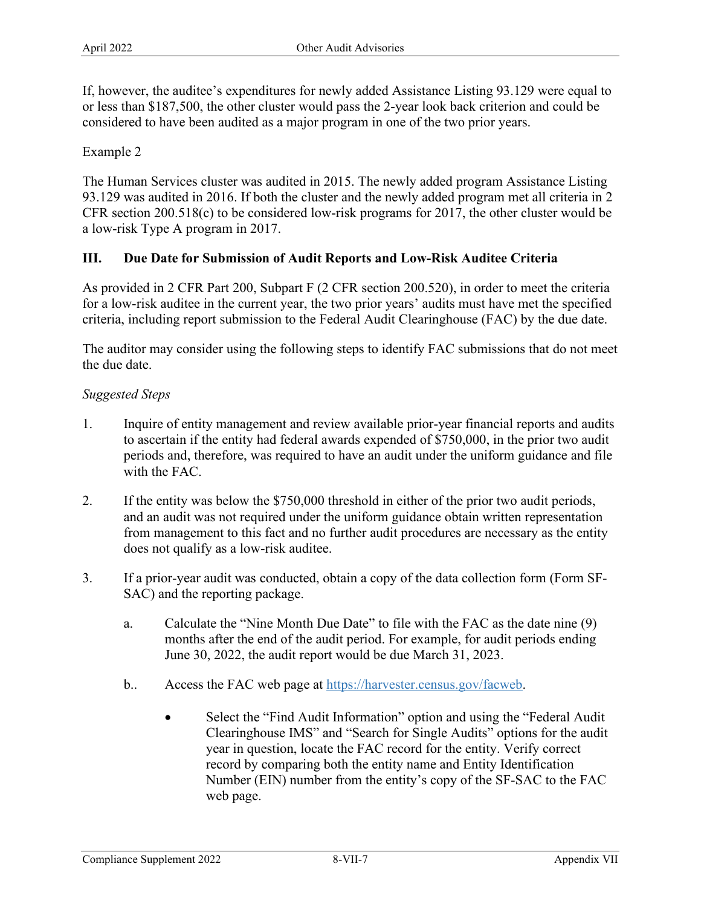If, however, the auditee's expenditures for newly added Assistance Listing 93.129 were equal to or less than \$187,500, the other cluster would pass the 2-year look back criterion and could be considered to have been audited as a major program in one of the two prior years.

Example 2

The Human Services cluster was audited in 2015. The newly added program Assistance Listing 93.129 was audited in 2016. If both the cluster and the newly added program met all criteria in 2 CFR section 200.518(c) to be considered low-risk programs for 2017, the other cluster would be a low-risk Type A program in 2017.

## **III. Due Date for Submission of Audit Reports and Low-Risk Auditee Criteria**

As provided in 2 CFR Part 200, Subpart F (2 CFR section 200.520), in order to meet the criteria for a low-risk auditee in the current year, the two prior years' audits must have met the specified criteria, including report submission to the Federal Audit Clearinghouse (FAC) by the due date.

The auditor may consider using the following steps to identify FAC submissions that do not meet the due date.

### *Suggested Steps*

- to ascertain if the entity had federal awards expended of \$750,000, in the prior two audit 1. Inquire of entity management and review available prior-year financial reports and audits periods and, therefore, was required to have an audit under the uniform guidance and file with the FAC.
- 2. If the entity was below the \$750,000 threshold in either of the prior two audit periods, and an audit was not required under the uniform guidance obtain written representation from management to this fact and no further audit procedures are necessary as the entity does not qualify as a low-risk auditee.
- 3. If a prior-year audit was conducted, obtain a copy of the data collection form (Form SF-SAC) and the reporting package.
	- a. Calculate the "Nine Month Due Date" to file with the FAC as the date nine (9) months after the end of the audit period. For example, for audit periods ending June 30, 2022, the audit report would be due March 31, 2023.
	- b.. Access the FAC web page at [https://harvester.census.gov/facweb.](https://harvester.census.gov/facweb)
		- web page. Select the "Find Audit Information" option and using the "Federal Audit" Clearinghouse IMS" and "Search for Single Audits" options for the audit year in question, locate the FAC record for the entity. Verify correct record by comparing both the entity name and Entity Identification Number (EIN) number from the entity's copy of the SF-SAC to the FAC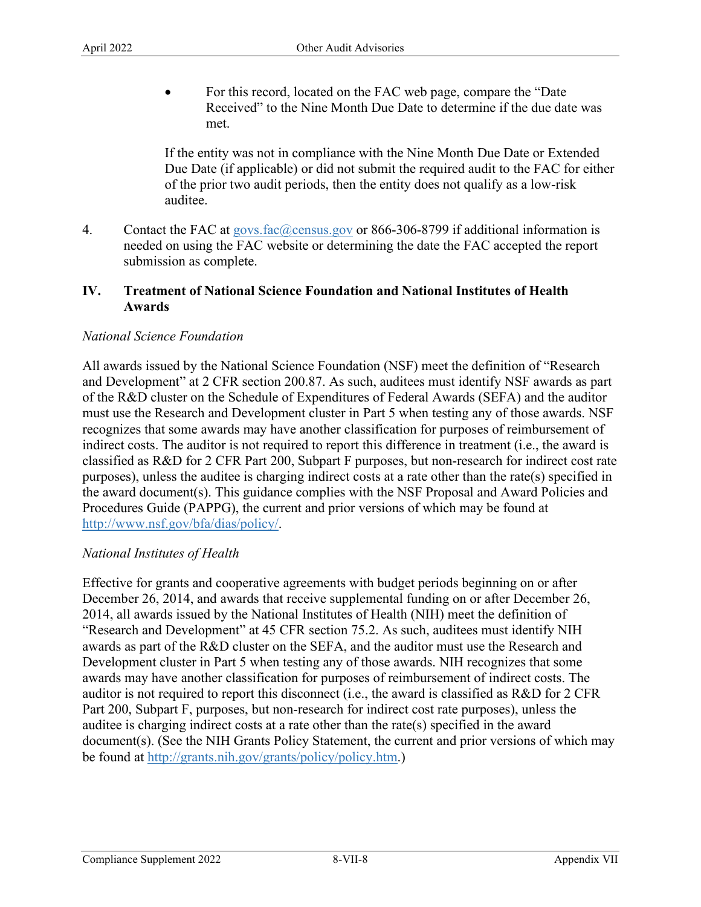met. • For this record, located on the FAC web page, compare the "Date Received" to the Nine Month Due Date to determine if the due date was

If the entity was not in compliance with the Nine Month Due Date or Extended Due Date (if applicable) or did not submit the required audit to the FAC for either of the prior two audit periods, then the entity does not qualify as a low-risk auditee.

4. Contact the FAC at [govs.fac@census.gov](mailto:govs.fac@census.gov) or 866-306-8799 if additional information is needed on using the FAC website or determining the date the FAC accepted the report submission as complete.

## **IV. Treatment of National Science Foundation and National Institutes of Health Awards**

## *National Science Foundation*

All awards issued by the National Science Foundation (NSF) meet the definition of "Research and Development" at 2 CFR section 200.87. As such, auditees must identify NSF awards as part of the R&D cluster on the Schedule of Expenditures of Federal Awards (SEFA) and the auditor must use the Research and Development cluster in Part 5 when testing any of those awards. NSF recognizes that some awards may have another classification for purposes of reimbursement of indirect costs. The auditor is not required to report this difference in treatment (i.e., the award is classified as R&D for 2 CFR Part 200, Subpart F purposes, but non-research for indirect cost rate purposes), unless the auditee is charging indirect costs at a rate other than the rate(s) specified in the award document(s). This guidance complies with the NSF Proposal and Award Policies and Procedures Guide (PAPPG), the current and prior versions of which may be found at [http://www.nsf.gov/bfa/dias/policy/.](http://www.nsf.gov/bfa/dias/policy/) 

### *National Institutes of Health*

 auditor is not required to report this disconnect (i.e., the award is classified as R&D for 2 CFR Effective for grants and cooperative agreements with budget periods beginning on or after December 26, 2014, and awards that receive supplemental funding on or after December 26, 2014, all awards issued by the National Institutes of Health (NIH) meet the definition of "Research and Development" at 45 CFR section 75.2. As such, auditees must identify NIH awards as part of the R&D cluster on the SEFA, and the auditor must use the Research and Development cluster in Part 5 when testing any of those awards. NIH recognizes that some awards may have another classification for purposes of reimbursement of indirect costs. The Part 200, Subpart F, purposes, but non-research for indirect cost rate purposes), unless the auditee is charging indirect costs at a rate other than the rate(s) specified in the award document(s). (See the NIH Grants Policy Statement, the current and prior versions of which may be found at [http://grants.nih.gov/grants/policy/policy.htm.](http://grants.nih.gov/grants/policy/policy.htm))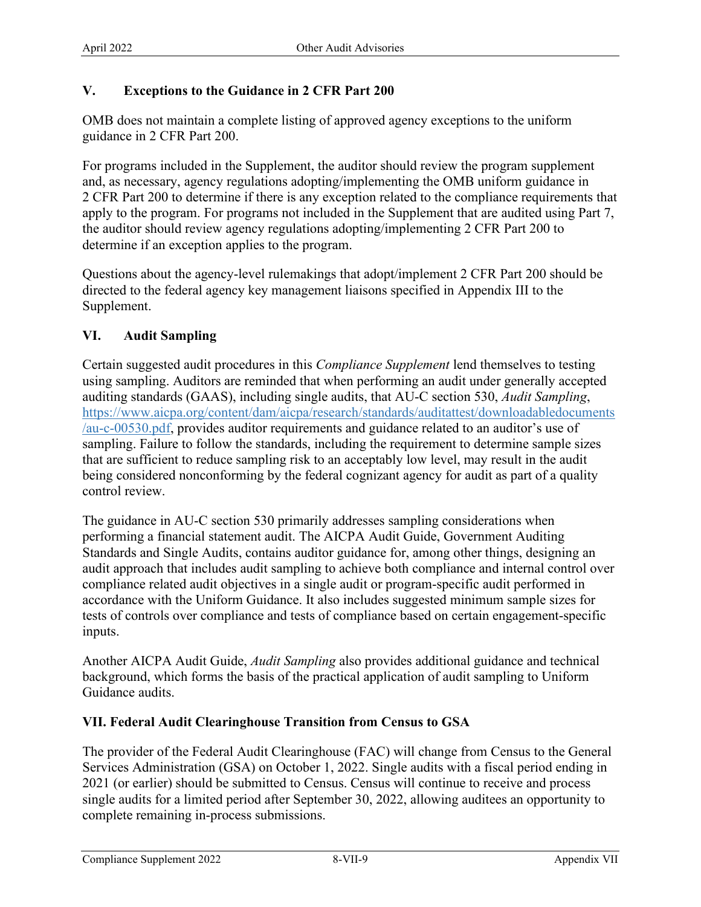# **V. Exceptions to the Guidance in 2 CFR Part 200**

OMB does not maintain a complete listing of approved agency exceptions to the uniform guidance in 2 CFR Part 200.

For programs included in the Supplement, the auditor should review the program supplement and, as necessary, agency regulations adopting/implementing the OMB uniform guidance in 2 CFR Part 200 to determine if there is any exception related to the compliance requirements that apply to the program. For programs not included in the Supplement that are audited using Part 7, the auditor should review agency regulations adopting/implementing 2 CFR Part 200 to determine if an exception applies to the program.

Questions about the agency-level rulemakings that adopt/implement 2 CFR Part 200 should be directed to the federal agency key management liaisons specified in Appendix III to the Supplement.

# **VI. Audit Sampling**

Certain suggested audit procedures in this *Compliance Supplement* lend themselves to testing using sampling. Auditors are reminded that when performing an audit under generally accepted auditing standards (GAAS), including single audits, that AU-C section 530, *Audit Sampling*, [https://www.aicpa.org/content/dam/aicpa/research/standards/auditattest/downloadabledocuments](https://www.aicpa.org/content/dam/aicpa/research/standards/auditattest/downloadabledocuments/au-c-00530.pdf)  [/au-c-00530.pdf,](https://www.aicpa.org/content/dam/aicpa/research/standards/auditattest/downloadabledocuments/au-c-00530.pdf) provides auditor requirements and guidance related to an auditor's use of sampling. Failure to follow the standards, including the requirement to determine sample sizes that are sufficient to reduce sampling risk to an acceptably low level, may result in the audit being considered nonconforming by the federal cognizant agency for audit as part of a quality control review.

The guidance in AU-C section 530 primarily addresses sampling considerations when performing a financial statement audit. The AICPA Audit Guide, Government Auditing Standards and Single Audits, contains auditor guidance for, among other things, designing an audit approach that includes audit sampling to achieve both compliance and internal control over compliance related audit objectives in a single audit or program-specific audit performed in accordance with the Uniform Guidance. It also includes suggested minimum sample sizes for tests of controls over compliance and tests of compliance based on certain engagement-specific inputs.

 Guidance audits. Another AICPA Audit Guide, *Audit Sampling* also provides additional guidance and technical background, which forms the basis of the practical application of audit sampling to Uniform

## **VII. Federal Audit Clearinghouse Transition from Census to GSA**

The provider of the Federal Audit Clearinghouse (FAC) will change from Census to the General Services Administration (GSA) on October 1, 2022. Single audits with a fiscal period ending in 2021 (or earlier) should be submitted to Census. Census will continue to receive and process single audits for a limited period after September 30, 2022, allowing auditees an opportunity to complete remaining in-process submissions.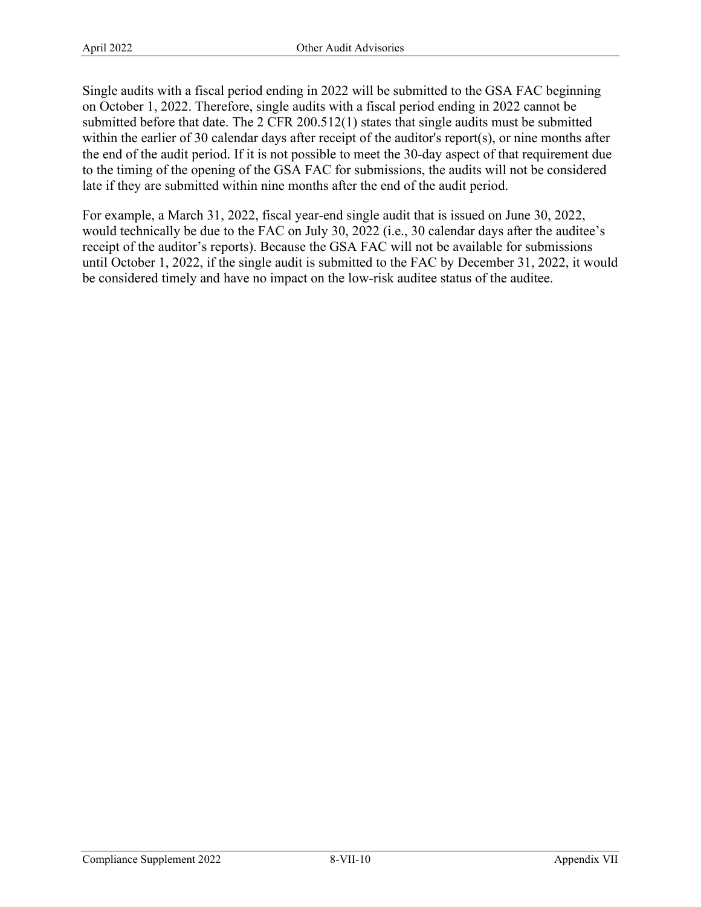Single audits with a fiscal period ending in 2022 will be submitted to the GSA FAC beginning on October 1, 2022. Therefore, single audits with a fiscal period ending in 2022 cannot be submitted before that date. The 2 CFR 200.512(1) states that single audits must be submitted within the earlier of 30 calendar days after receipt of the auditor's report(s), or nine months after the end of the audit period. If it is not possible to meet the 30-day aspect of that requirement due to the timing of the opening of the GSA FAC for submissions, the audits will not be considered late if they are submitted within nine months after the end of the audit period.

 would technically be due to the FAC on July 30, 2022 (i.e., 30 calendar days after the auditee's be considered timely and have no impact on the low-risk auditee status of the auditee. For example, a March 31, 2022, fiscal year-end single audit that is issued on June 30, 2022, receipt of the auditor's reports). Because the GSA FAC will not be available for submissions until October 1, 2022, if the single audit is submitted to the FAC by December 31, 2022, it would be considered timely and have no impact on the low-risk auditee status of the auditee. Compliance Supplement 2022 8-VII-10 Appendix VII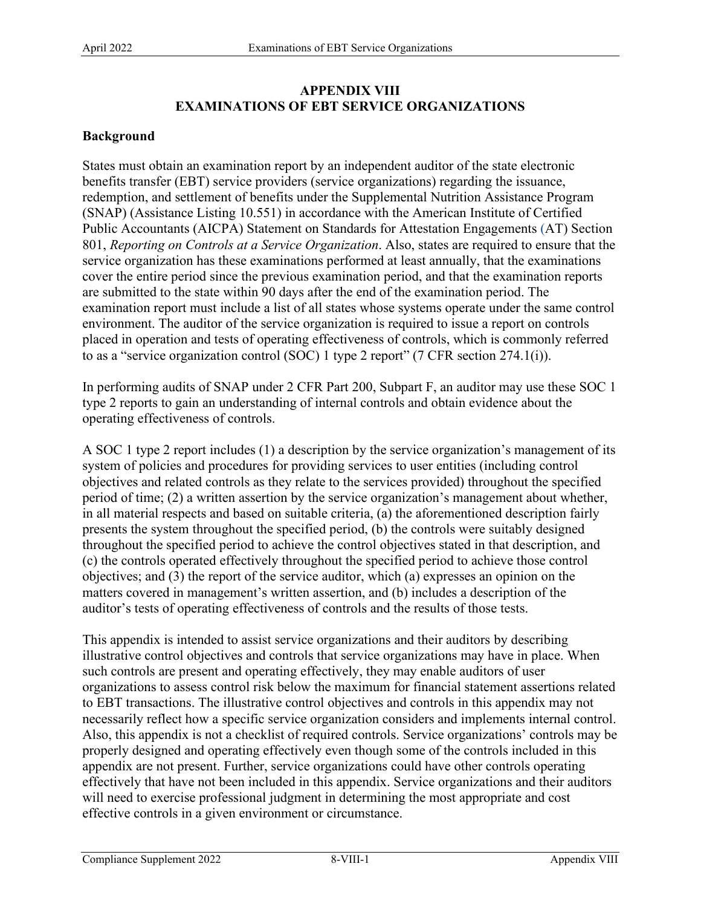# **APPENDIX VIII EXAMINATIONS OF EBT SERVICE ORGANIZATIONS**

## **Background**

States must obtain an examination report by an independent auditor of the state electronic benefits transfer (EBT) service providers (service organizations) regarding the issuance, redemption, and settlement of benefits under the Supplemental Nutrition Assistance Program (SNAP) (Assistance Listing 10.551) in accordance with the American Institute of Certified Public Accountants (AICPA) Statement on Standards for Attestation Engagements (AT) Section 801, *Reporting on Controls at a Service Organization*. Also, states are required to ensure that the service organization has these examinations performed at least annually, that the examinations cover the entire period since the previous examination period, and that the examination reports are submitted to the state within 90 days after the end of the examination period. The examination report must include a list of all states whose systems operate under the same control environment. The auditor of the service organization is required to issue a report on controls placed in operation and tests of operating effectiveness of controls, which is commonly referred to as a "service organization control (SOC) 1 type 2 report" (7 CFR section 274.1(i)).

 type 2 reports to gain an understanding of internal controls and obtain evidence about the In performing audits of SNAP under 2 CFR Part 200, Subpart F, an auditor may use these SOC 1 operating effectiveness of controls.

A SOC 1 type 2 report includes (1) a description by the service organization's management of its system of policies and procedures for providing services to user entities (including control objectives and related controls as they relate to the services provided) throughout the specified period of time; (2) a written assertion by the service organization's management about whether, in all material respects and based on suitable criteria, (a) the aforementioned description fairly presents the system throughout the specified period, (b) the controls were suitably designed throughout the specified period to achieve the control objectives stated in that description, and (c) the controls operated effectively throughout the specified period to achieve those control objectives; and (3) the report of the service auditor, which (a) expresses an opinion on the matters covered in management's written assertion, and (b) includes a description of the auditor's tests of operating effectiveness of controls and the results of those tests.

This appendix is intended to assist service organizations and their auditors by describing illustrative control objectives and controls that service organizations may have in place. When such controls are present and operating effectively, they may enable auditors of user organizations to assess control risk below the maximum for financial statement assertions related to EBT transactions. The illustrative control objectives and controls in this appendix may not necessarily reflect how a specific service organization considers and implements internal control. Also, this appendix is not a checklist of required controls. Service organizations' controls may be properly designed and operating effectively even though some of the controls included in this appendix are not present. Further, service organizations could have other controls operating effectively that have not been included in this appendix. Service organizations and their auditors will need to exercise professional judgment in determining the most appropriate and cost effective controls in a given environment or circumstance.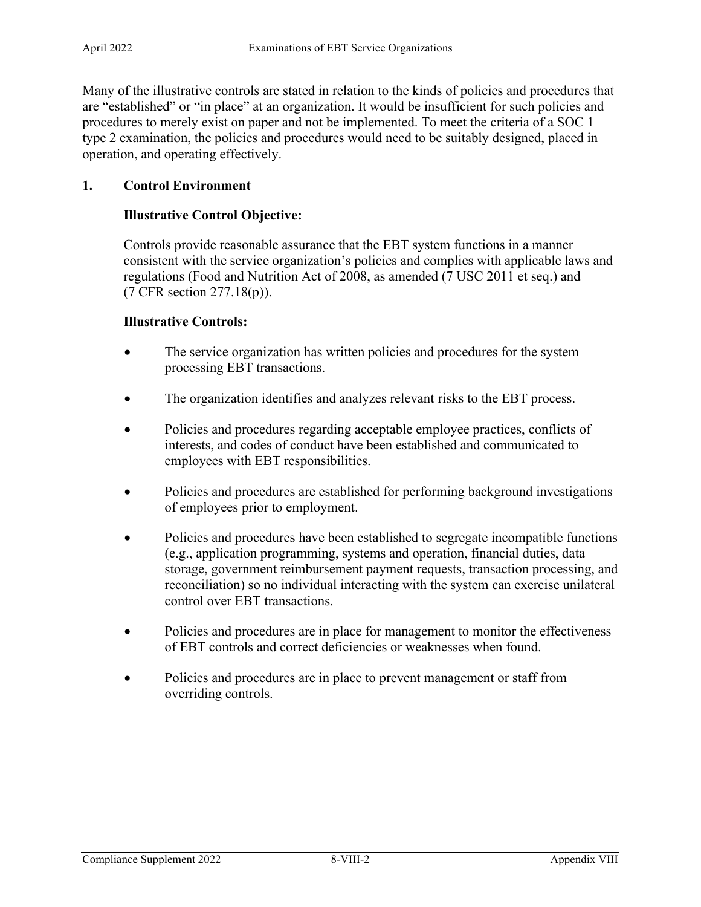procedures to merely exist on paper and not be implemented. To meet the criteria of a SOC 1 Many of the illustrative controls are stated in relation to the kinds of policies and procedures that are "established" or "in place" at an organization. It would be insufficient for such policies and type 2 examination, the policies and procedures would need to be suitably designed, placed in operation, and operating effectively.

## **1. Control Environment**

## **Illustrative Control Objective:**

Controls provide reasonable assurance that the EBT system functions in a manner consistent with the service organization's policies and complies with applicable laws and regulations (Food and Nutrition Act of 2008, as amended (7 USC 2011 et seq.) and (7 CFR section 277.18(p)).

### **Illustrative Controls:**

- The service organization has written policies and procedures for the system processing EBT transactions.
- The organization identifies and analyzes relevant risks to the EBT process.
- • Policies and procedures regarding acceptable employee practices, conflicts of interests, and codes of conduct have been established and communicated to employees with EBT responsibilities.
- Policies and procedures are established for performing background investigations of employees prior to employment.
- Policies and procedures have been established to segregate incompatible functions (e.g., application programming, systems and operation, financial duties, data storage, government reimbursement payment requests, transaction processing, and reconciliation) so no individual interacting with the system can exercise unilateral control over EBT transactions.
- Policies and procedures are in place for management to monitor the effectiveness of EBT controls and correct deficiencies or weaknesses when found.
- Policies and procedures are in place to prevent management or staff from overriding controls.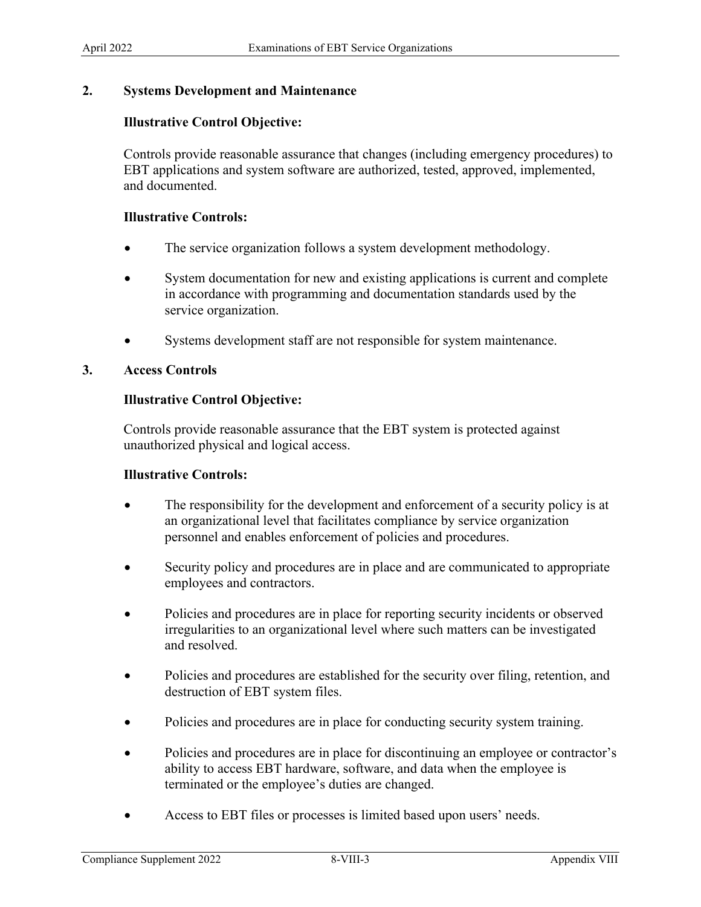### **2. Systems Development and Maintenance**

### **Illustrative Control Objective:**

Controls provide reasonable assurance that changes (including emergency procedures) to EBT applications and system software are authorized, tested, approved, implemented, and documented.

#### **Illustrative Controls:**

- The service organization follows a system development methodology.
- • System documentation for new and existing applications is current and complete in accordance with programming and documentation standards used by the service organization.
- Systems development staff are not responsible for system maintenance.

#### **3. Access Controls**

### **Illustrative Control Objective:**

Controls provide reasonable assurance that the EBT system is protected against unauthorized physical and logical access.

#### **Illustrative Controls:**

- The responsibility for the development and enforcement of a security policy is at an organizational level that facilitates compliance by service organization personnel and enables enforcement of policies and procedures.
- Security policy and procedures are in place and are communicated to appropriate employees and contractors.
- Policies and procedures are in place for reporting security incidents or observed irregularities to an organizational level where such matters can be investigated and resolved.
- Policies and procedures are established for the security over filing, retention, and destruction of EBT system files.
- Policies and procedures are in place for conducting security system training.
- • Policies and procedures are in place for discontinuing an employee or contractor's ability to access EBT hardware, software, and data when the employee is terminated or the employee's duties are changed.
- Access to EBT files or processes is limited based upon users' needs.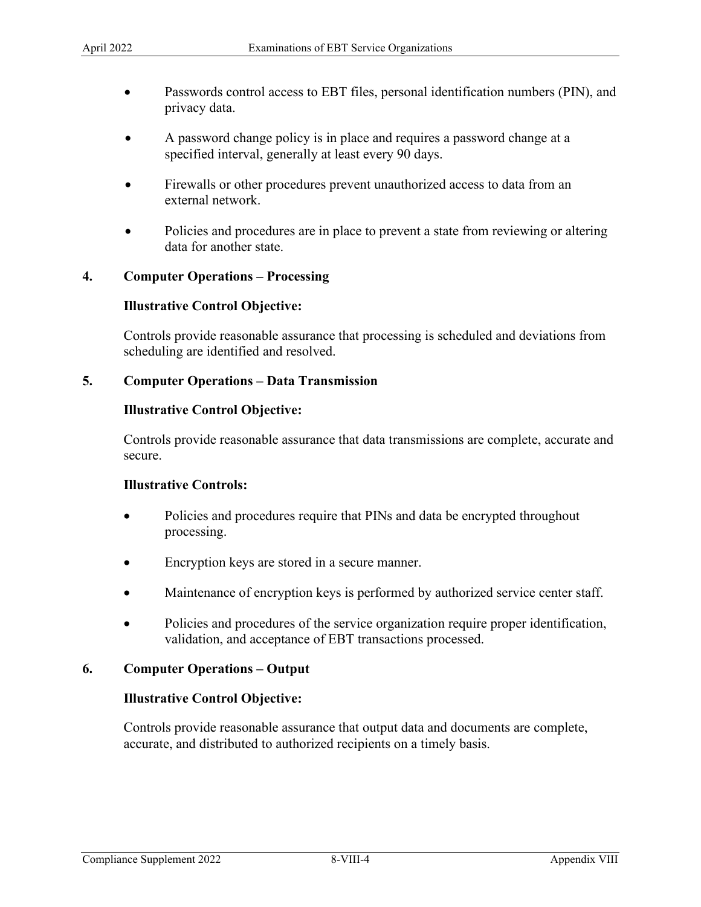- Passwords control access to EBT files, personal identification numbers (PIN), and privacy data.
- • A password change policy is in place and requires a password change at a specified interval, generally at least every 90 days.
- Firewalls or other procedures prevent unauthorized access to data from an external network.
- data for another state. Policies and procedures are in place to prevent a state from reviewing or altering

### **4. Computer Operations – Processing**

### **Illustrative Control Objective:**

Controls provide reasonable assurance that processing is scheduled and deviations from scheduling are identified and resolved.

### **5. Computer Operations – Data Transmission**

### **Illustrative Control Objective:**

Controls provide reasonable assurance that data transmissions are complete, accurate and secure.

### **Illustrative Controls:**

- Policies and procedures require that PINs and data be encrypted throughout processing.
- Encryption keys are stored in a secure manner.
- Maintenance of encryption keys is performed by authorized service center staff.
- Policies and procedures of the service organization require proper identification, validation, and acceptance of EBT transactions processed.

### **6. Computer Operations – Output**

#### **Illustrative Control Objective:**

Controls provide reasonable assurance that output data and documents are complete, accurate, and distributed to authorized recipients on a timely basis.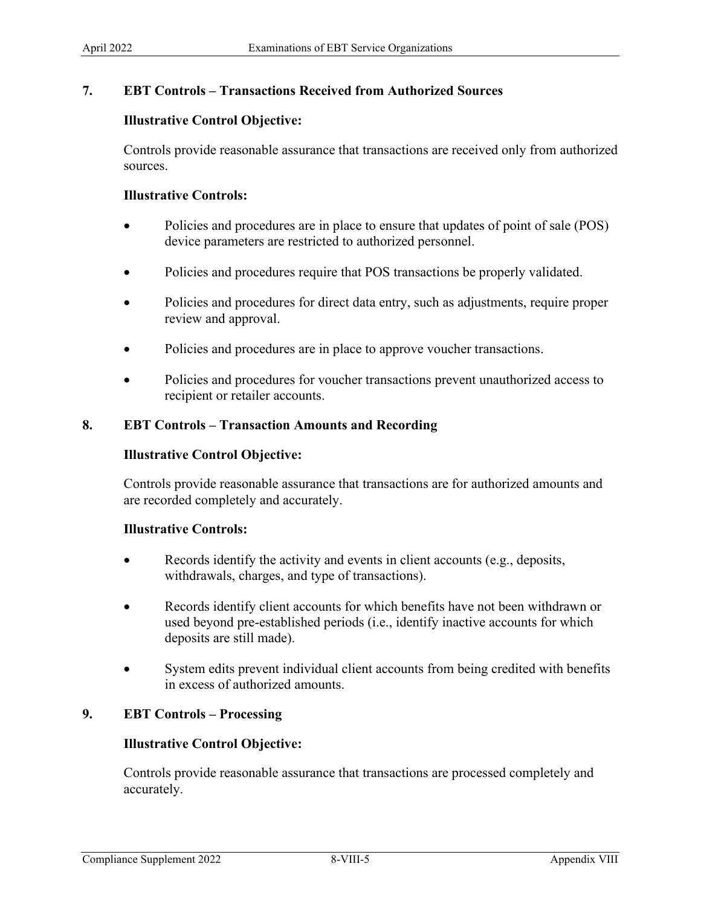## **7. EBT Controls – Transactions Received from Authorized Sources**

### **Illustrative Control Objective:**

Controls provide reasonable assurance that transactions are received only from authorized sources.

### **Illustrative Controls:**

- Policies and procedures are in place to ensure that updates of point of sale (POS) device parameters are restricted to authorized personnel.
- Policies and procedures require that POS transactions be properly validated.
- Policies and procedures for direct data entry, such as adjustments, require proper review and approval.
- Policies and procedures are in place to approve voucher transactions.
- Policies and procedures for voucher transactions prevent unauthorized access to recipient or retailer accounts.

### **8. EBT Controls – Transaction Amounts and Recording**

#### **Illustrative Control Objective:**

Controls provide reasonable assurance that transactions are for authorized amounts and are recorded completely and accurately.

### **Illustrative Controls:**

- Records identify the activity and events in client accounts (e.g., deposits, withdrawals, charges, and type of transactions).
- Records identify client accounts for which benefits have not been withdrawn or used beyond pre-established periods (i.e., identify inactive accounts for which deposits are still made).
- System edits prevent individual client accounts from being credited with benefits in excess of authorized amounts.

## **9. EBT Controls – Processing**

### **Illustrative Control Objective:**

Controls provide reasonable assurance that transactions are processed completely and accurately.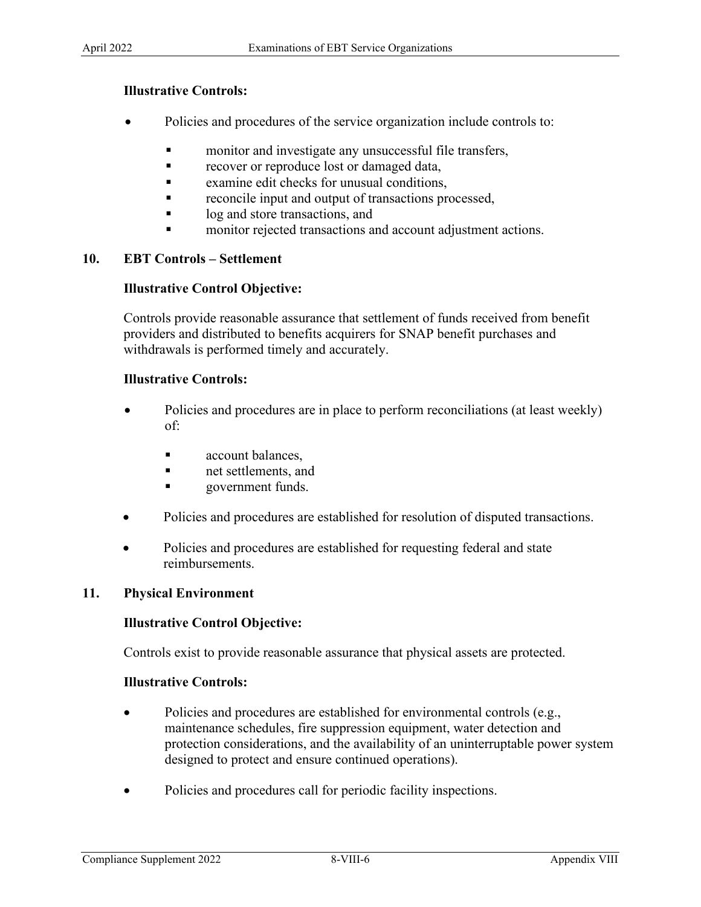## **Illustrative Controls:**

- Policies and procedures of the service organization include controls to:
	- **n** monitor and investigate any unsuccessful file transfers,
	- **recover or reproduce lost or damaged data,**
	- **Examine edit checks for unusual conditions,**
	- **reconcile input and output of transactions processed,**
	- log and store transactions, and
	- monitor rejected transactions and account adjustment actions.

## **10. EBT Controls – Settlement**

## **Illustrative Control Objective:**

Controls provide reasonable assurance that settlement of funds received from benefit providers and distributed to benefits acquirers for SNAP benefit purchases and withdrawals is performed timely and accurately.

### **Illustrative Controls:**

- Policies and procedures are in place to perform reconciliations (at least weekly) of:
	- **account balances.**
	- net settlements, and
	- **government funds.**
- Policies and procedures are established for resolution of disputed transactions.
- Policies and procedures are established for requesting federal and state reimbursements.

### **11. Physical Environment**

### **Illustrative Control Objective:**

Controls exist to provide reasonable assurance that physical assets are protected.

### **Illustrative Controls:**

- protection considerations, and the availability of an uninterruptable power system • Policies and procedures are established for environmental controls (e.g., maintenance schedules, fire suppression equipment, water detection and designed to protect and ensure continued operations).
- Policies and procedures call for periodic facility inspections.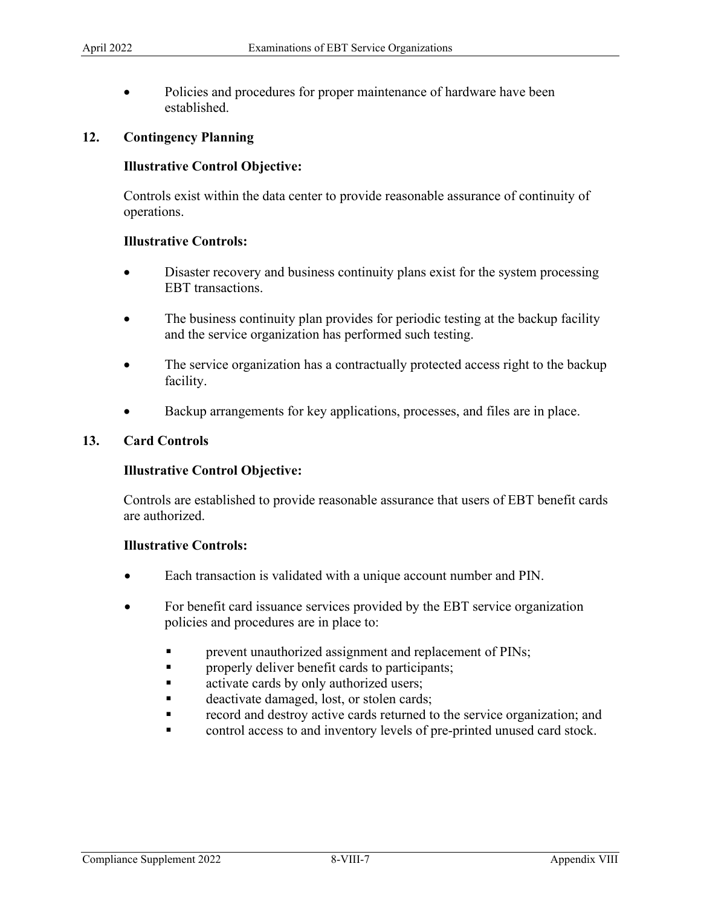• Policies and procedures for proper maintenance of hardware have been established.

### **12. Contingency Planning**

### **Illustrative Control Objective:**

Controls exist within the data center to provide reasonable assurance of continuity of operations.

### **Illustrative Controls:**

- • Disaster recovery and business continuity plans exist for the system processing EBT transactions.
- The business continuity plan provides for periodic testing at the backup facility and the service organization has performed such testing.
- The service organization has a contractually protected access right to the backup facility.
- Backup arrangements for key applications, processes, and files are in place.

### **13. Card Controls**

#### **Illustrative Control Objective:**

Controls are established to provide reasonable assurance that users of EBT benefit cards are authorized.

#### **Illustrative Controls:**

- Each transaction is validated with a unique account number and PIN.
- For benefit card issuance services provided by the EBT service organization policies and procedures are in place to:
	- **Parameter 1** prevent unauthorized assignment and replacement of PINs;
	- properly deliver benefit cards to participants;
	- **activate cards by only authorized users;**
	- deactivate damaged, lost, or stolen cards;
	- record and destroy active cards returned to the service organization; and
	- control access to and inventory levels of pre-printed unused card stock.